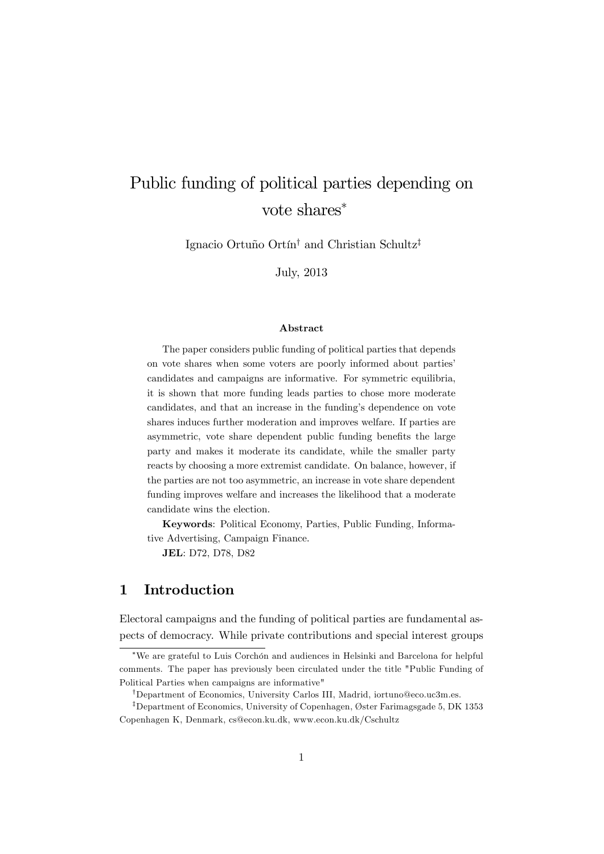# Public funding of political parties depending on vote shares

Ignacio Ortuño Ortín<sup>†</sup> and Christian Schultz<sup>‡</sup>

July, 2013

#### Abstract

The paper considers public funding of political parties that depends on vote shares when some voters are poorly informed about partiesí candidates and campaigns are informative. For symmetric equilibria, it is shown that more funding leads parties to chose more moderate candidates, and that an increase in the funding's dependence on vote shares induces further moderation and improves welfare. If parties are asymmetric, vote share dependent public funding benefits the large party and makes it moderate its candidate, while the smaller party reacts by choosing a more extremist candidate. On balance, however, if the parties are not too asymmetric, an increase in vote share dependent funding improves welfare and increases the likelihood that a moderate candidate wins the election.

Keywords: Political Economy, Parties, Public Funding, Informative Advertising, Campaign Finance.

JEL: D72, D78, D82

## 1 Introduction

Electoral campaigns and the funding of political parties are fundamental aspects of democracy. While private contributions and special interest groups

 $\overline{\text{W}}$ e are grateful to Luis Corchón and audiences in Helsinki and Barcelona for helpful comments. The paper has previously been circulated under the title "Public Funding of Political Parties when campaigns are informative"

<sup>&</sup>lt;sup>†</sup>Department of Economics, University Carlos III, Madrid, iortuno@eco.uc3m.es.

<sup>&</sup>lt;sup>‡</sup>Department of Economics, University of Copenhagen, Øster Farimagsgade 5, DK 1353 Copenhagen K, Denmark, cs@econ.ku.dk, www.econ.ku.dk/Cschultz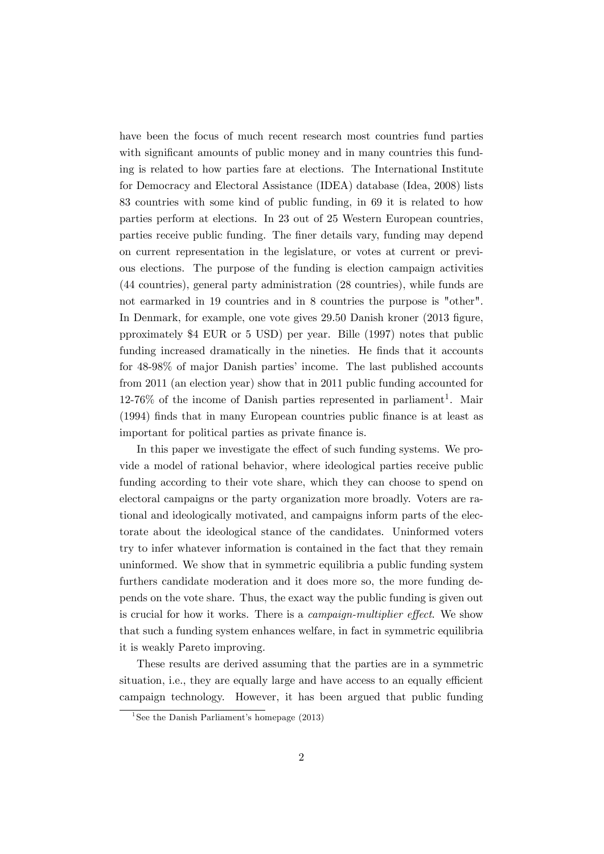have been the focus of much recent research most countries fund parties with significant amounts of public money and in many countries this funding is related to how parties fare at elections. The International Institute for Democracy and Electoral Assistance (IDEA) database (Idea, 2008) lists 83 countries with some kind of public funding, in 69 it is related to how parties perform at elections. In 23 out of 25 Western European countries, parties receive public funding. The finer details vary, funding may depend on current representation in the legislature, or votes at current or previous elections. The purpose of the funding is election campaign activities (44 countries), general party administration (28 countries), while funds are not earmarked in 19 countries and in 8 countries the purpose is "other". In Denmark, for example, one vote gives 29.50 Danish kroner (2013 figure, pproximately \$4 EUR or 5 USD) per year. Bille (1997) notes that public funding increased dramatically in the nineties. He finds that it accounts for  $48-98\%$  of major Danish parties' income. The last published accounts from 2011 (an election year) show that in 2011 public funding accounted for  $12\n-76\%$  of the income of Danish parties represented in parliament<sup>1</sup>. Mair (1994) finds that in many European countries public finance is at least as important for political parties as private finance is.

In this paper we investigate the effect of such funding systems. We provide a model of rational behavior, where ideological parties receive public funding according to their vote share, which they can choose to spend on electoral campaigns or the party organization more broadly. Voters are rational and ideologically motivated, and campaigns inform parts of the electorate about the ideological stance of the candidates. Uninformed voters try to infer whatever information is contained in the fact that they remain uninformed. We show that in symmetric equilibria a public funding system furthers candidate moderation and it does more so, the more funding depends on the vote share. Thus, the exact way the public funding is given out is crucial for how it works. There is a *campaign-multiplier effect*. We show that such a funding system enhances welfare, in fact in symmetric equilibria it is weakly Pareto improving.

These results are derived assuming that the parties are in a symmetric situation, i.e., they are equally large and have access to an equally efficient campaign technology. However, it has been argued that public funding

<sup>&</sup>lt;sup>1</sup>See the Danish Parliament's homepage  $(2013)$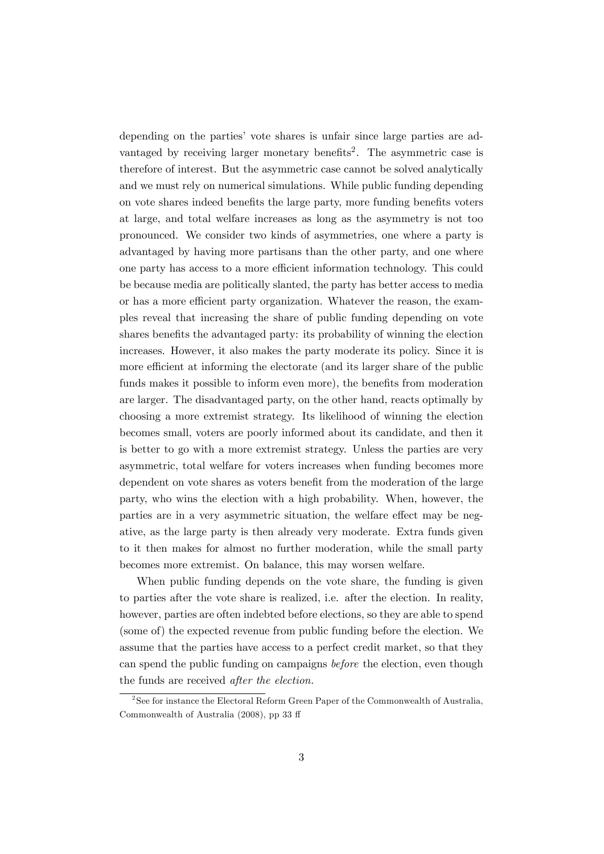depending on the parties' vote shares is unfair since large parties are advantaged by receiving larger monetary benefits<sup>2</sup>. The asymmetric case is therefore of interest. But the asymmetric case cannot be solved analytically and we must rely on numerical simulations. While public funding depending on vote shares indeed benefits the large party, more funding benefits voters at large, and total welfare increases as long as the asymmetry is not too pronounced. We consider two kinds of asymmetries, one where a party is advantaged by having more partisans than the other party, and one where one party has access to a more efficient information technology. This could be because media are politically slanted, the party has better access to media or has a more efficient party organization. Whatever the reason, the examples reveal that increasing the share of public funding depending on vote shares benefits the advantaged party: its probability of winning the election increases. However, it also makes the party moderate its policy. Since it is more efficient at informing the electorate (and its larger share of the public funds makes it possible to inform even more), the benefits from moderation are larger. The disadvantaged party, on the other hand, reacts optimally by choosing a more extremist strategy. Its likelihood of winning the election becomes small, voters are poorly informed about its candidate, and then it is better to go with a more extremist strategy. Unless the parties are very asymmetric, total welfare for voters increases when funding becomes more dependent on vote shares as voters benefit from the moderation of the large party, who wins the election with a high probability. When, however, the parties are in a very asymmetric situation, the welfare effect may be negative, as the large party is then already very moderate. Extra funds given to it then makes for almost no further moderation, while the small party becomes more extremist. On balance, this may worsen welfare.

When public funding depends on the vote share, the funding is given to parties after the vote share is realized, i.e. after the election. In reality, however, parties are often indebted before elections, so they are able to spend (some of) the expected revenue from public funding before the election. We assume that the parties have access to a perfect credit market, so that they can spend the public funding on campaigns before the election, even though the funds are received after the election.

 $2^2$ See for instance the Electoral Reform Green Paper of the Commonwealth of Australia, Commonwealth of Australia  $(2008)$ , pp 33 ff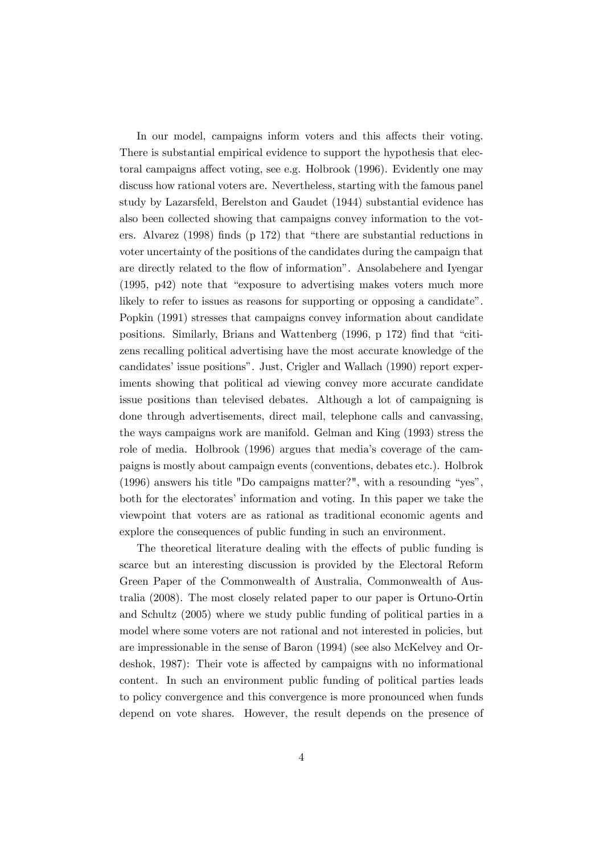In our model, campaigns inform voters and this affects their voting. There is substantial empirical evidence to support the hypothesis that electoral campaigns affect voting, see e.g. Holbrook (1996). Evidently one may discuss how rational voters are. Nevertheless, starting with the famous panel study by Lazarsfeld, Berelston and Gaudet (1944) substantial evidence has also been collected showing that campaigns convey information to the voters. Alvarez  $(1998)$  finds (p 172) that "there are substantial reductions in voter uncertainty of the positions of the candidates during the campaign that are directly related to the flow of information". Ansolabehere and Iyengar  $(1995, p42)$  note that "exposure to advertising makes voters much more likely to refer to issues as reasons for supporting or opposing a candidate". Popkin (1991) stresses that campaigns convey information about candidate positions. Similarly, Brians and Wattenberg  $(1996, p 172)$  find that "citizens recalling political advertising have the most accurate knowledge of the candidates' issue positions". Just, Crigler and Wallach (1990) report experiments showing that political ad viewing convey more accurate candidate issue positions than televised debates. Although a lot of campaigning is done through advertisements, direct mail, telephone calls and canvassing, the ways campaigns work are manifold. Gelman and King (1993) stress the role of media. Holbrook (1996) argues that mediaís coverage of the campaigns is mostly about campaign events (conventions, debates etc.). Holbrok (1996) answers his title "Do campaigns matter?", with a resounding "yes", both for the electorates' information and voting. In this paper we take the viewpoint that voters are as rational as traditional economic agents and explore the consequences of public funding in such an environment.

The theoretical literature dealing with the effects of public funding is scarce but an interesting discussion is provided by the Electoral Reform Green Paper of the Commonwealth of Australia, Commonwealth of Australia (2008). The most closely related paper to our paper is Ortuno-Ortin and Schultz (2005) where we study public funding of political parties in a model where some voters are not rational and not interested in policies, but are impressionable in the sense of Baron (1994) (see also McKelvey and Ordeshok, 1987): Their vote is affected by campaigns with no informational content. In such an environment public funding of political parties leads to policy convergence and this convergence is more pronounced when funds depend on vote shares. However, the result depends on the presence of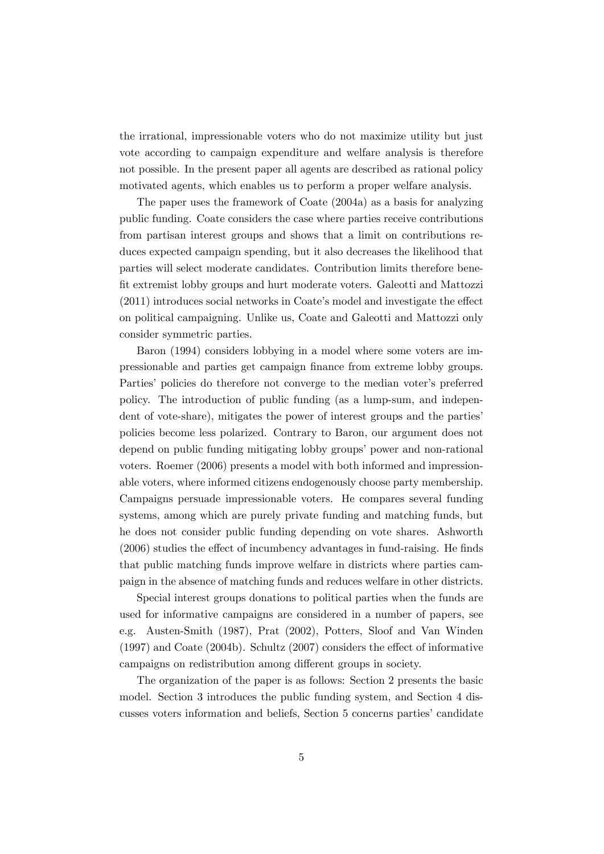the irrational, impressionable voters who do not maximize utility but just vote according to campaign expenditure and welfare analysis is therefore not possible. In the present paper all agents are described as rational policy motivated agents, which enables us to perform a proper welfare analysis.

The paper uses the framework of Coate (2004a) as a basis for analyzing public funding. Coate considers the case where parties receive contributions from partisan interest groups and shows that a limit on contributions reduces expected campaign spending, but it also decreases the likelihood that parties will select moderate candidates. Contribution limits therefore benefit extremist lobby groups and hurt moderate voters. Galeotti and Mattozzi  $(2011)$  introduces social networks in Coate's model and investigate the effect on political campaigning. Unlike us, Coate and Galeotti and Mattozzi only consider symmetric parties.

Baron (1994) considers lobbying in a model where some voters are impressionable and parties get campaign Önance from extreme lobby groups. Parties' policies do therefore not converge to the median voter's preferred policy. The introduction of public funding (as a lump-sum, and independent of vote-share), mitigates the power of interest groups and the parties policies become less polarized. Contrary to Baron, our argument does not depend on public funding mitigating lobby groups' power and non-rational voters. Roemer (2006) presents a model with both informed and impressionable voters, where informed citizens endogenously choose party membership. Campaigns persuade impressionable voters. He compares several funding systems, among which are purely private funding and matching funds, but he does not consider public funding depending on vote shares. Ashworth  $(2006)$  studies the effect of incumbency advantages in fund-raising. He finds that public matching funds improve welfare in districts where parties campaign in the absence of matching funds and reduces welfare in other districts.

Special interest groups donations to political parties when the funds are used for informative campaigns are considered in a number of papers, see e.g. Austen-Smith (1987), Prat (2002), Potters, Sloof and Van Winden  $(1997)$  and Coate  $(2004b)$ . Schultz  $(2007)$  considers the effect of informative campaigns on redistribution among different groups in society.

The organization of the paper is as follows: Section 2 presents the basic model. Section 3 introduces the public funding system, and Section 4 discusses voters information and beliefs, Section 5 concerns partiesícandidate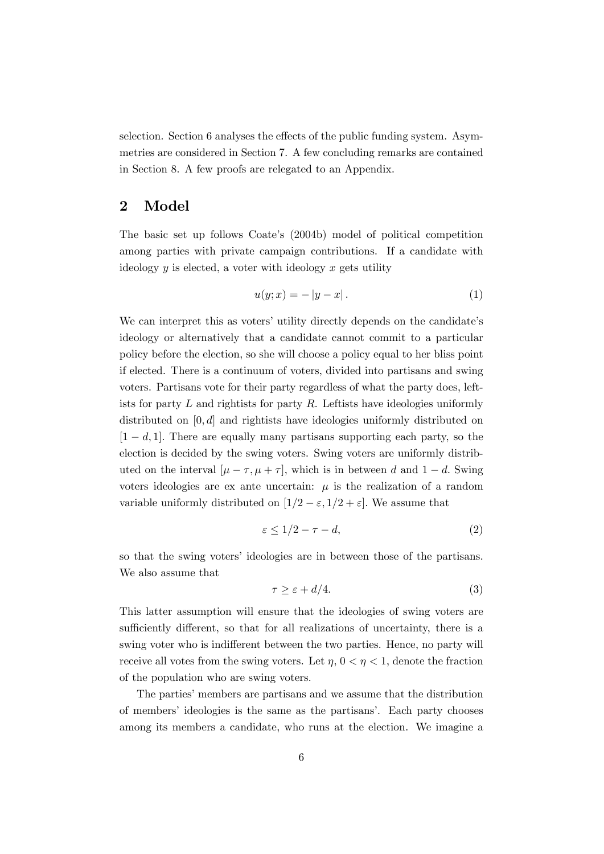selection. Section 6 analyses the effects of the public funding system. Asymmetries are considered in Section 7. A few concluding remarks are contained in Section 8. A few proofs are relegated to an Appendix.

## 2 Model

The basic set up follows Coate's (2004b) model of political competition among parties with private campaign contributions. If a candidate with ideology  $y$  is elected, a voter with ideology  $x$  gets utility

$$
u(y; x) = -|y - x|.
$$
 (1)

We can interpret this as voters' utility directly depends on the candidate's ideology or alternatively that a candidate cannot commit to a particular policy before the election, so she will choose a policy equal to her bliss point if elected. There is a continuum of voters, divided into partisans and swing voters. Partisans vote for their party regardless of what the party does, leftists for party  $L$  and rightists for party  $R$ . Leftists have ideologies uniformly distributed on  $[0, d]$  and rightists have ideologies uniformly distributed on  $[1 - d, 1]$ . There are equally many partisans supporting each party, so the election is decided by the swing voters. Swing voters are uniformly distributed on the interval  $[\mu - \tau, \mu + \tau]$ , which is in between d and  $1 - d$ . Swing voters ideologies are ex ante uncertain:  $\mu$  is the realization of a random variable uniformly distributed on  $[1/2 - \varepsilon, 1/2 + \varepsilon]$ . We assume that

$$
\varepsilon \le 1/2 - \tau - d,\tag{2}
$$

so that the swing voters' ideologies are in between those of the partisans. We also assume that

$$
\tau \ge \varepsilon + d/4. \tag{3}
$$

This latter assumption will ensure that the ideologies of swing voters are sufficiently different, so that for all realizations of uncertainty, there is a swing voter who is indifferent between the two parties. Hence, no party will receive all votes from the swing voters. Let  $\eta$ ,  $0 < \eta < 1$ , denote the fraction of the population who are swing voters.

The parties' members are partisans and we assume that the distribution of members' ideologies is the same as the partisans'. Each party chooses among its members a candidate, who runs at the election. We imagine a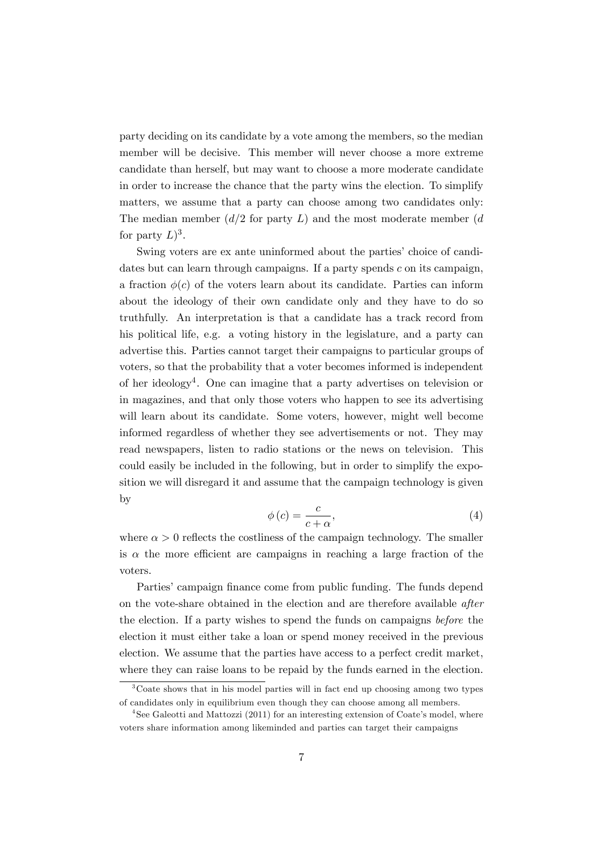party deciding on its candidate by a vote among the members, so the median member will be decisive. This member will never choose a more extreme candidate than herself, but may want to choose a more moderate candidate in order to increase the chance that the party wins the election. To simplify matters, we assume that a party can choose among two candidates only: The median member  $(d/2$  for party L) and the most moderate member (d) for party  $L$ <sup>3</sup>.

Swing voters are ex ante uninformed about the parties' choice of candidates but can learn through campaigns. If a party spends c on its campaign, a fraction  $\phi(c)$  of the voters learn about its candidate. Parties can inform about the ideology of their own candidate only and they have to do so truthfully. An interpretation is that a candidate has a track record from his political life, e.g. a voting history in the legislature, and a party can advertise this. Parties cannot target their campaigns to particular groups of voters, so that the probability that a voter becomes informed is independent of her ideology<sup>4</sup> . One can imagine that a party advertises on television or in magazines, and that only those voters who happen to see its advertising will learn about its candidate. Some voters, however, might well become informed regardless of whether they see advertisements or not. They may read newspapers, listen to radio stations or the news on television. This could easily be included in the following, but in order to simplify the exposition we will disregard it and assume that the campaign technology is given by

$$
\phi(c) = \frac{c}{c + \alpha},\tag{4}
$$

where  $\alpha > 0$  reflects the costliness of the campaign technology. The smaller is  $\alpha$  the more efficient are campaigns in reaching a large fraction of the voters.

Parties' campaign finance come from public funding. The funds depend on the vote-share obtained in the election and are therefore available after the election. If a party wishes to spend the funds on campaigns before the election it must either take a loan or spend money received in the previous election. We assume that the parties have access to a perfect credit market, where they can raise loans to be repaid by the funds earned in the election.

<sup>&</sup>lt;sup>3</sup>Coate shows that in his model parties will in fact end up choosing among two types of candidates only in equilibrium even though they can choose among all members.

<sup>&</sup>lt;sup>4</sup>See Galeotti and Mattozzi (2011) for an interesting extension of Coate's model, where voters share information among likeminded and parties can target their campaigns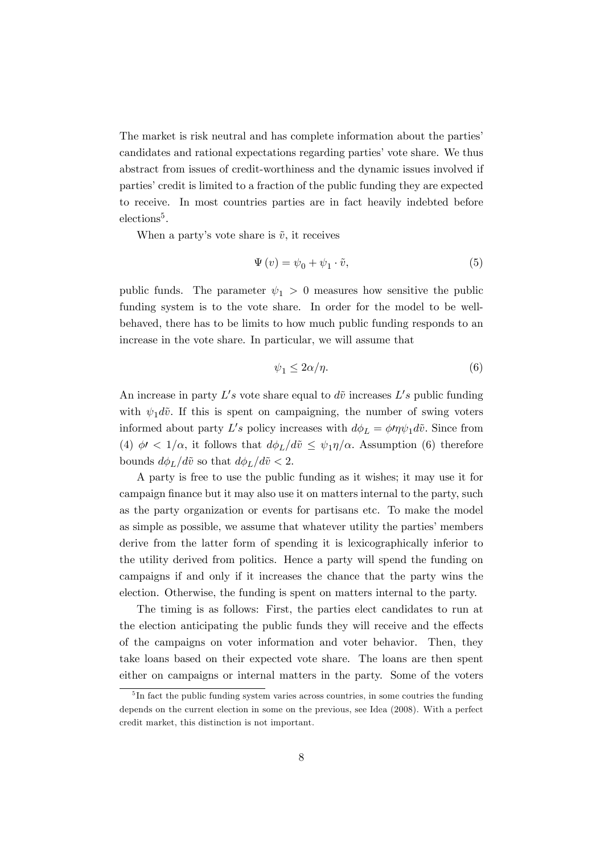The market is risk neutral and has complete information about the parties<sup>?</sup> candidates and rational expectations regarding parties' vote share. We thus abstract from issues of credit-worthiness and the dynamic issues involved if parties' credit is limited to a fraction of the public funding they are expected to receive. In most countries parties are in fact heavily indebted before elections<sup>5</sup>.

When a party's vote share is  $\tilde{v}$ , it receives

$$
\Psi(v) = \psi_0 + \psi_1 \cdot \tilde{v},\tag{5}
$$

public funds. The parameter  $\psi_1 > 0$  measures how sensitive the public funding system is to the vote share. In order for the model to be wellbehaved, there has to be limits to how much public funding responds to an increase in the vote share. In particular, we will assume that

$$
\psi_1 \le 2\alpha/\eta. \tag{6}
$$

An increase in party  $L's$  vote share equal to  $d\tilde{v}$  increases  $L's$  public funding with  $\psi_1 d\tilde{v}$ . If this is spent on campaigning, the number of swing voters informed about party L's policy increases with  $d\phi_L = \phi \eta \psi_1 d\tilde{v}$ . Since from (4)  $\phi$  <  $1/\alpha$ , it follows that  $d\phi_L/d\tilde{v} \leq \psi_1\eta/\alpha$ . Assumption (6) therefore bounds  $d\phi_L/d\tilde{v}$  so that  $d\phi_L/d\tilde{v} < 2$ .

A party is free to use the public funding as it wishes; it may use it for campaign finance but it may also use it on matters internal to the party, such as the party organization or events for partisans etc. To make the model as simple as possible, we assume that whatever utility the parties' members derive from the latter form of spending it is lexicographically inferior to the utility derived from politics. Hence a party will spend the funding on campaigns if and only if it increases the chance that the party wins the election. Otherwise, the funding is spent on matters internal to the party.

The timing is as follows: First, the parties elect candidates to run at the election anticipating the public funds they will receive and the effects of the campaigns on voter information and voter behavior. Then, they take loans based on their expected vote share. The loans are then spent either on campaigns or internal matters in the party. Some of the voters

<sup>&</sup>lt;sup>5</sup>In fact the public funding system varies across countries, in some coutries the funding depends on the current election in some on the previous, see Idea (2008). With a perfect credit market, this distinction is not important.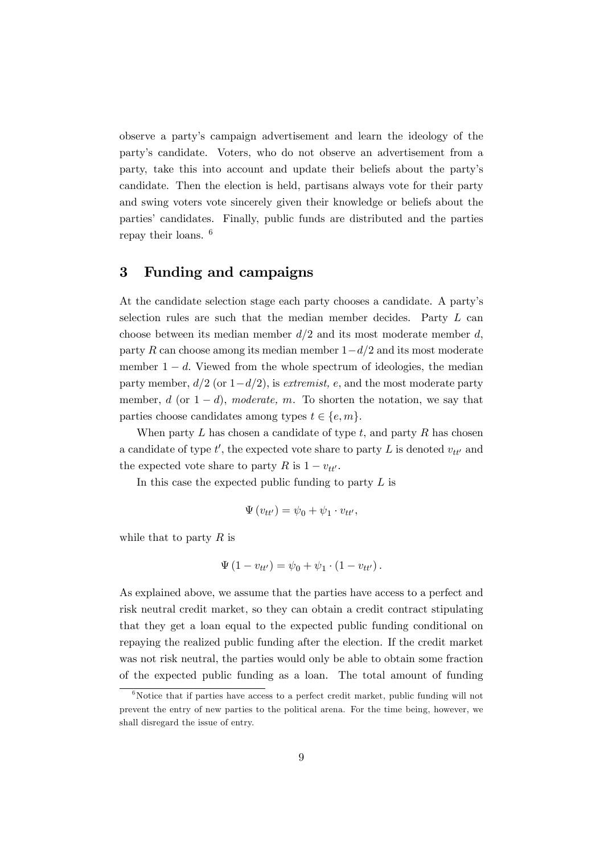observe a partyís campaign advertisement and learn the ideology of the partyís candidate. Voters, who do not observe an advertisement from a party, take this into account and update their beliefs about the partyís candidate. Then the election is held, partisans always vote for their party and swing voters vote sincerely given their knowledge or beliefs about the partiesí candidates. Finally, public funds are distributed and the parties repay their loans. <sup>6</sup>

# 3 Funding and campaigns

At the candidate selection stage each party chooses a candidate. A partyís selection rules are such that the median member decides. Party L can choose between its median member  $d/2$  and its most moderate member d, party R can choose among its median member  $1-d/2$  and its most moderate member  $1 - d$ . Viewed from the whole spectrum of ideologies, the median party member,  $d/2$  (or  $1-d/2$ ), is extremist, e, and the most moderate party member, d (or  $1-d$ ), moderate, m. To shorten the notation, we say that parties choose candidates among types  $t \in \{e, m\}.$ 

When party  $L$  has chosen a candidate of type  $t$ , and party  $R$  has chosen a candidate of type  $t'$ , the expected vote share to party L is denoted  $v_{tt'}$  and the expected vote share to party R is  $1 - v_{tt'}$ .

In this case the expected public funding to party  $L$  is

$$
\Psi(v_{tt'}) = \psi_0 + \psi_1 \cdot v_{tt'},
$$

while that to party  $R$  is

$$
\Psi(1 - v_{tt'}) = \psi_0 + \psi_1 \cdot (1 - v_{tt'})
$$

As explained above, we assume that the parties have access to a perfect and risk neutral credit market, so they can obtain a credit contract stipulating that they get a loan equal to the expected public funding conditional on repaying the realized public funding after the election. If the credit market was not risk neutral, the parties would only be able to obtain some fraction of the expected public funding as a loan. The total amount of funding

 $6$ Notice that if parties have access to a perfect credit market, public funding will not prevent the entry of new parties to the political arena. For the time being, however, we shall disregard the issue of entry.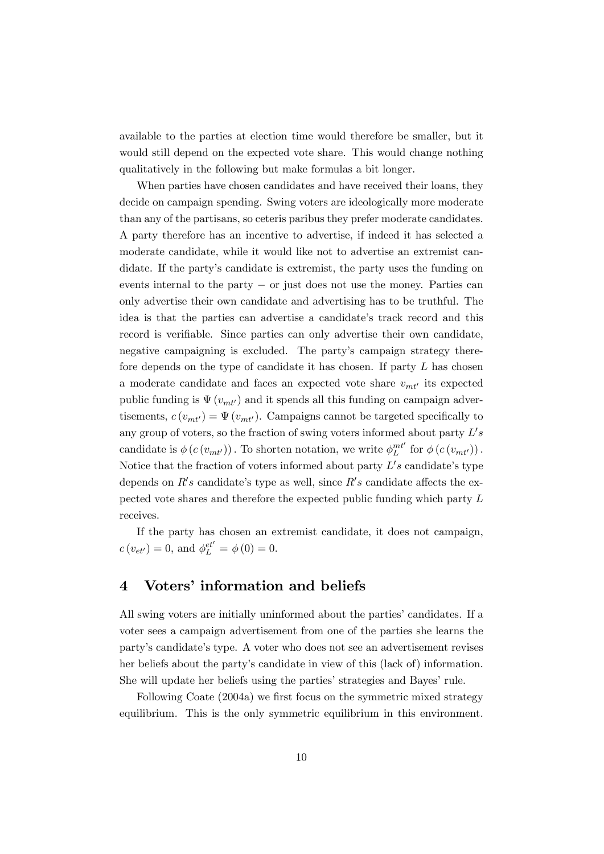available to the parties at election time would therefore be smaller, but it would still depend on the expected vote share. This would change nothing qualitatively in the following but make formulas a bit longer.

When parties have chosen candidates and have received their loans, they decide on campaign spending. Swing voters are ideologically more moderate than any of the partisans, so ceteris paribus they prefer moderate candidates. A party therefore has an incentive to advertise, if indeed it has selected a moderate candidate, while it would like not to advertise an extremist candidate. If the party's candidate is extremist, the party uses the funding on events internal to the party  $-$  or just does not use the money. Parties can only advertise their own candidate and advertising has to be truthful. The idea is that the parties can advertise a candidate's track record and this record is verifiable. Since parties can only advertise their own candidate, negative campaigning is excluded. The party's campaign strategy therefore depends on the type of candidate it has chosen. If party  $L$  has chosen a moderate candidate and faces an expected vote share  $v_{mt'}$  its expected public funding is  $\Psi(v_{mt})$  and it spends all this funding on campaign advertisements,  $c(v_{mt}) = \Psi(v_{mt})$ . Campaigns cannot be targeted specifically to any group of voters, so the fraction of swing voters informed about party  $L's$ candidate is  $\phi(c(v_{mt})))$ . To shorten notation, we write  $\phi_L^{mt'}$  for  $\phi(c(v_{mt'}))$ . Notice that the fraction of voters informed about party  $L's$  candidate's type depends on  $R's$  candidate's type as well, since  $R's$  candidate affects the expected vote shares and therefore the expected public funding which party L receives.

If the party has chosen an extremist candidate, it does not campaign,  $c(v_{et'}) = 0$ , and  $\phi_L^{et'} = \phi(0) = 0$ .

# 4 Voters' information and beliefs

All swing voters are initially uninformed about the parties' candidates. If a voter sees a campaign advertisement from one of the parties she learns the partyís candidateís type. A voter who does not see an advertisement revises her beliefs about the party's candidate in view of this (lack of) information. She will update her beliefs using the parties' strategies and Bayes' rule.

Following Coate (2004a) we first focus on the symmetric mixed strategy equilibrium. This is the only symmetric equilibrium in this environment.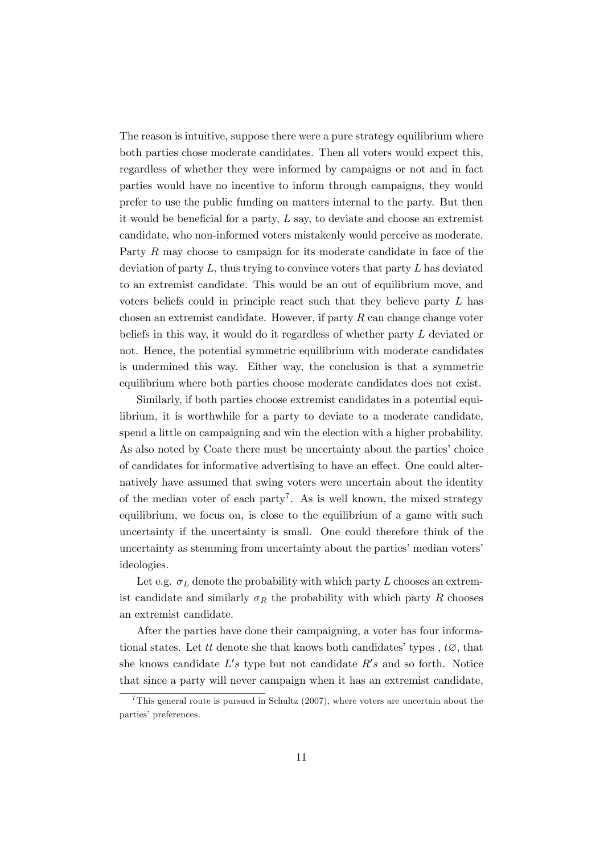The reason is intuitive, suppose there were a pure strategy equilibrium where both parties chose moderate candidates. Then all voters would expect this, regardless of whether they were informed by campaigns or not and in fact parties would have no incentive to inform through campaigns, they would prefer to use the public funding on matters internal to the party. But then it would be beneficial for a party,  $L$  say, to deviate and choose an extremist candidate, who non-informed voters mistakenly would perceive as moderate. Party R may choose to campaign for its moderate candidate in face of the deviation of party  $L$ , thus trying to convince voters that party  $L$  has deviated to an extremist candidate. This would be an out of equilibrium move, and voters beliefs could in principle react such that they believe party L has chosen an extremist candidate. However, if party  $R$  can change change voter beliefs in this way, it would do it regardless of whether party L deviated or not. Hence, the potential symmetric equilibrium with moderate candidates is undermined this way. Either way, the conclusion is that a symmetric equilibrium where both parties choose moderate candidates does not exist.

Similarly, if both parties choose extremist candidates in a potential equilibrium, it is worthwhile for a party to deviate to a moderate candidate, spend a little on campaigning and win the election with a higher probability. As also noted by Coate there must be uncertainty about the parties' choice of candidates for informative advertising to have an effect. One could alternatively have assumed that swing voters were uncertain about the identity of the median voter of each party<sup>7</sup>. As is well known, the mixed strategy equilibrium, we focus on, is close to the equilibrium of a game with such uncertainty if the uncertainty is small. One could therefore think of the uncertainty as stemming from uncertainty about the parties' median voters' ideologies.

Let e.g.  $\sigma_L$  denote the probability with which party L chooses an extremist candidate and similarly  $\sigma_R$  the probability with which party R chooses an extremist candidate.

After the parties have done their campaigning, a voter has four informational states. Let tt denote she that knows both candidates' types,  $t\varnothing$ , that she knows candidate  $L's$  type but not candidate  $R's$  and so forth. Notice that since a party will never campaign when it has an extremist candidate,

<sup>&</sup>lt;sup>7</sup>This general route is pursued in Schultz (2007), where voters are uncertain about the parties' preferences.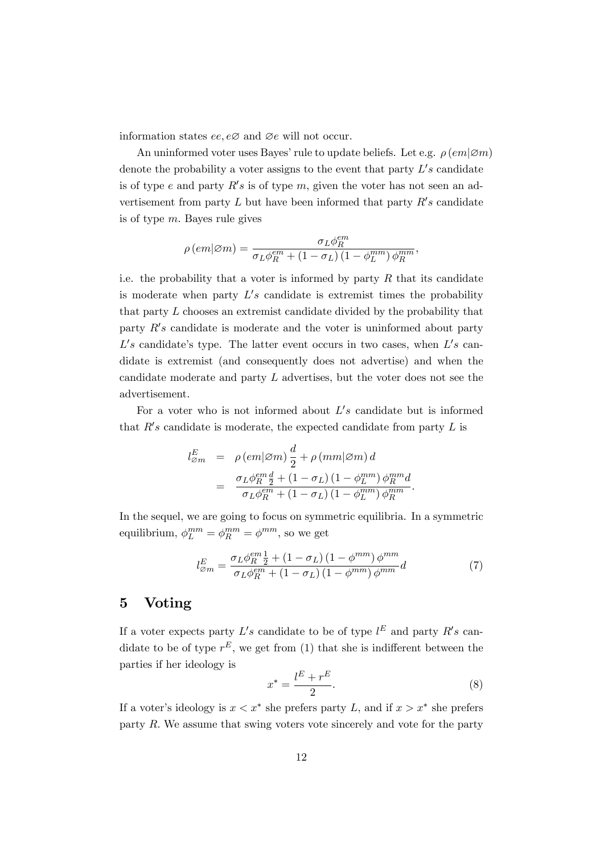information states ee,  $e\varnothing$  and  $\varnothing e$  will not occur.

An uninformed voter uses Bayes' rule to update beliefs. Let e.g.  $\rho$  (em| $\varnothing$ m) denote the probability a voter assigns to the event that party  $L's$  candidate is of type e and party  $R's$  is of type m, given the voter has not seen an advertisement from party  $L$  but have been informed that party  $R's$  candidate is of type m: Bayes rule gives

$$
\rho\left(em|\varnothing m\right)=\frac{\sigma_L\phi_R^{em}}{\sigma_L\phi_R^{em}+\left(1-\sigma_L\right)\left(1-\phi_L^{mm}\right)\phi_R^{mm}},
$$

i.e. the probability that a voter is informed by party  $R$  that its candidate is moderate when party  $L's$  candidate is extremist times the probability that party L chooses an extremist candidate divided by the probability that party  $R's$  candidate is moderate and the voter is uninformed about party  $L's$  candidate's type. The latter event occurs in two cases, when  $L's$  candidate is extremist (and consequently does not advertise) and when the candidate moderate and party L advertises, but the voter does not see the advertisement.

For a voter who is not informed about  $L's$  candidate but is informed that  $R's$  candidate is moderate, the expected candidate from party  $L$  is

$$
l_{\varnothing m}^{E} = \rho (em|\varnothing m) \frac{d}{2} + \rho (mm|\varnothing m) d
$$
  

$$
= \frac{\sigma_L \phi_R^{em} \frac{d}{2} + (1 - \sigma_L) (1 - \phi_L^{mm}) \phi_R^{mm} d}{\sigma_L \phi_R^{em} + (1 - \sigma_L) (1 - \phi_L^{mm}) \phi_R^{mm}}.
$$

In the sequel, we are going to focus on symmetric equilibria. In a symmetric equilibrium,  $\phi_L^{mm} = \phi_R^{mm} = \phi^{mm}$ , so we get

$$
l_{\varnothing m}^{E} = \frac{\sigma_L \phi_R^{em} \frac{1}{2} + (1 - \sigma_L) (1 - \phi^{mm}) \phi^{mm}}{\sigma_L \phi_R^{em} + (1 - \sigma_L) (1 - \phi^{mm}) \phi^{mm}} d \tag{7}
$$

## 5 Voting

If a voter expects party  $L's$  candidate to be of type  $l^E$  and party  $R's$  candidate to be of type  $r^E$ , we get from (1) that she is indifferent between the parties if her ideology is

$$
x^* = \frac{l^E + r^E}{2}.\tag{8}
$$

If a voter's ideology is  $x < x^*$  she prefers party L, and if  $x > x^*$  she prefers party  $R$ . We assume that swing voters vote sincerely and vote for the party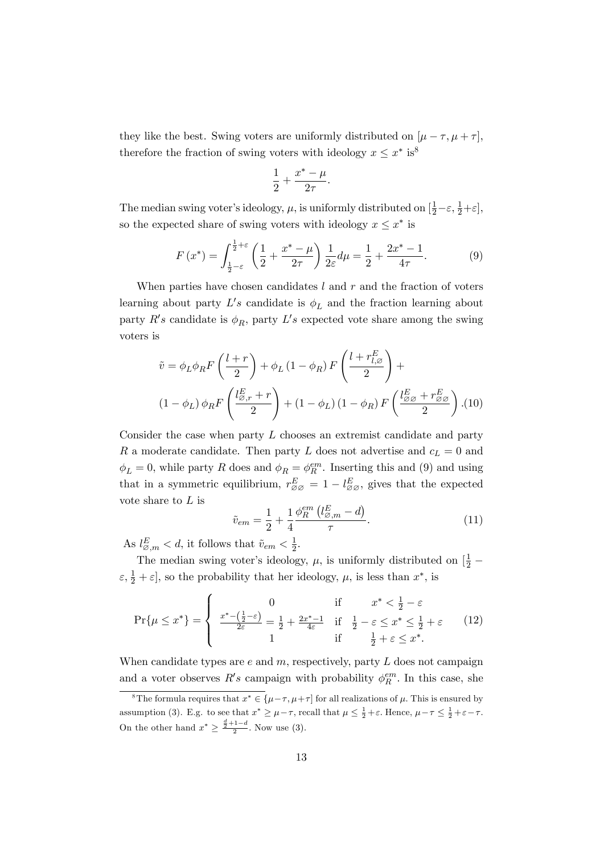they like the best. Swing voters are uniformly distributed on  $[\mu - \tau, \mu + \tau]$ , therefore the fraction of swing voters with ideology  $x \leq x^*$  is<sup>8</sup>

$$
\frac{1}{2} + \frac{x^* - \mu}{2\tau}.
$$

The median swing voter's ideology,  $\mu$ , is uniformly distributed on  $[\frac{1}{2} - \varepsilon, \frac{1}{2} + \varepsilon]$ , so the expected share of swing voters with ideology  $x \leq x^*$  is

$$
F(x^*) = \int_{\frac{1}{2}-\varepsilon}^{\frac{1}{2}+\varepsilon} \left(\frac{1}{2} + \frac{x^* - \mu}{2\tau}\right) \frac{1}{2\varepsilon} d\mu = \frac{1}{2} + \frac{2x^* - 1}{4\tau}.
$$
 (9)

When parties have chosen candidates  $l$  and  $r$  and the fraction of voters learning about party  $L's$  candidate is  $\phi_L$  and the fraction learning about party  $R's$  candidate is  $\phi_R$ , party  $L's$  expected vote share among the swing voters is

$$
\tilde{v} = \phi_L \phi_R F \left( \frac{l+r}{2} \right) + \phi_L (1 - \phi_R) F \left( \frac{l+r_{l,\varnothing}^E}{2} \right) +
$$
  

$$
(1 - \phi_L) \phi_R F \left( \frac{l_{\varnothing,r}^E + r}{2} \right) + (1 - \phi_L) (1 - \phi_R) F \left( \frac{l_{\varnothing\varnothing}^E + r_{\varnothing\varnothing}^E}{2} \right). (10)
$$

Consider the case when party  $L$  chooses an extremist candidate and party R a moderate candidate. Then party L does not advertise and  $c_L = 0$  and  $\phi_L = 0$ , while party R does and  $\phi_R = \phi_R^{em}$ . Inserting this and (9) and using that in a symmetric equilibrium,  $r_{\varnothing\varnothing}^E = 1 - l_{\varnothing\varnothing}^E$ , gives that the expected vote share to L is

$$
\tilde{v}_{em} = \frac{1}{2} + \frac{1}{4} \frac{\phi_R^{em} (l_{\varnothing,m}^E - d)}{\tau}.
$$
\n(11)

As  $l_{\varnothing,m}^E < d$ , it follows that  $\tilde{v}_{em} < \frac{1}{2}$  $rac{1}{2}$ .

The median swing voter's ideology,  $\mu$ , is uniformly distributed on  $\left[\frac{1}{2} - \frac{1}{2}\right]$  $\varepsilon$ ,  $\frac{1}{2} + \varepsilon$ , so the probability that her ideology,  $\mu$ , is less than  $x^*$ , is

$$
\Pr\{\mu \le x^*\} = \begin{cases} 0 & \text{if } x^* < \frac{1}{2} - \varepsilon \\ \frac{x^* - (\frac{1}{2} - \varepsilon)}{2\varepsilon} = \frac{1}{2} + \frac{2x^* - 1}{4\varepsilon} & \text{if } \frac{1}{2} - \varepsilon \le x^* \le \frac{1}{2} + \varepsilon \\ 1 & \text{if } \frac{1}{2} + \varepsilon \le x^*. \end{cases} (12)
$$

When candidate types are  $e$  and  $m$ , respectively, party  $L$  does not campaign and a voter observes  $R's$  campaign with probability  $\phi_R^{em}$ . In this case, she

<sup>&</sup>lt;sup>8</sup>The formula requires that  $x^* \in {\{\mu-\tau,\mu+\tau\}}$  for all realizations of  $\mu$ . This is ensured by assumption (3). E.g. to see that  $x^* \ge \mu - \tau$ , recall that  $\mu \le \frac{1}{2} + \varepsilon$ . Hence,  $\mu - \tau \le \frac{1}{2} + \varepsilon - \tau$ . On the other hand  $x^* \geq \frac{\frac{d}{2}+1-d}{2}$ . Now use (3).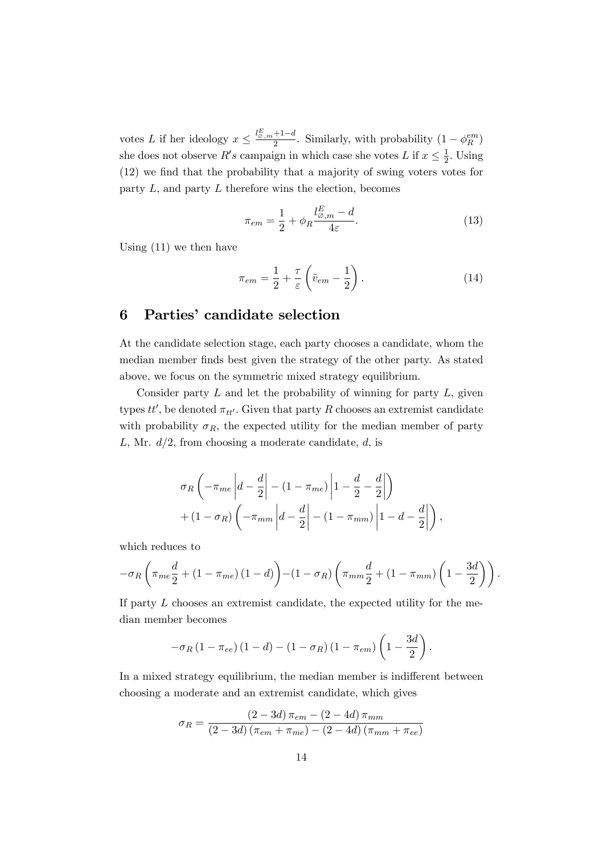votes L if her ideology  $x \leq \frac{l_{\varnothing,m}^E+1-d}{2}$ . Similarly, with probability  $(1-\phi_R^{em})$ she does not observe  $R's$  campaign in which case she votes  $L$  if  $x \leq \frac{1}{2}$  $\frac{1}{2}$ . Using  $(12)$  we find that the probability that a majority of swing voters votes for party  $L$ , and party  $L$  therefore wins the election, becomes

$$
\pi_{em} = \frac{1}{2} + \phi_R \frac{l_{\varnothing,m}^E - d}{4\varepsilon}.
$$
\n(13)

Using (11) we then have

$$
\pi_{em} = \frac{1}{2} + \frac{\tau}{\varepsilon} \left( \tilde{v}_{em} - \frac{1}{2} \right). \tag{14}
$$

#### 6 Parties' candidate selection

At the candidate selection stage, each party chooses a candidate, whom the median member finds best given the strategy of the other party. As stated above, we focus on the symmetric mixed strategy equilibrium.

Consider party  $L$  and let the probability of winning for party  $L$ , given types  $tt'$ , be denoted  $\pi_{tt'}$ . Given that party R chooses an extremist candidate with probability  $\sigma_R$ , the expected utility for the median member of party L, Mr.  $d/2$ , from choosing a moderate candidate, d, is

$$
\sigma_R \left( -\pi_{me} \left| d - \frac{d}{2} \right| - (1 - \pi_{me}) \left| 1 - \frac{d}{2} - \frac{d}{2} \right| \right)
$$

$$
+ (1 - \sigma_R) \left( -\pi_{mm} \left| d - \frac{d}{2} \right| - (1 - \pi_{mm}) \left| 1 - d - \frac{d}{2} \right| \right),
$$

which reduces to

$$
-\sigma_R \left( \pi_{me} \frac{d}{2} + (1 - \pi_{me}) (1 - d) \right) - (1 - \sigma_R) \left( \pi_{mm} \frac{d}{2} + (1 - \pi_{mm}) \left( 1 - \frac{3d}{2} \right) \right).
$$

If party  $L$  chooses an extremist candidate, the expected utility for the median member becomes

$$
-\sigma_R (1 - \pi_{ee}) (1 - d) - (1 - \sigma_R) (1 - \pi_{em}) \left(1 - \frac{3d}{2}\right).
$$

In a mixed strategy equilibrium, the median member is indifferent between choosing a moderate and an extremist candidate, which gives

$$
\sigma_R = \frac{(2 - 3d)\,\pi_{em} - (2 - 4d)\,\pi_{mm}}{(2 - 3d)\,(\pi_{em} + \pi_{me}) - (2 - 4d)\,(\pi_{mm} + \pi_{ee})}
$$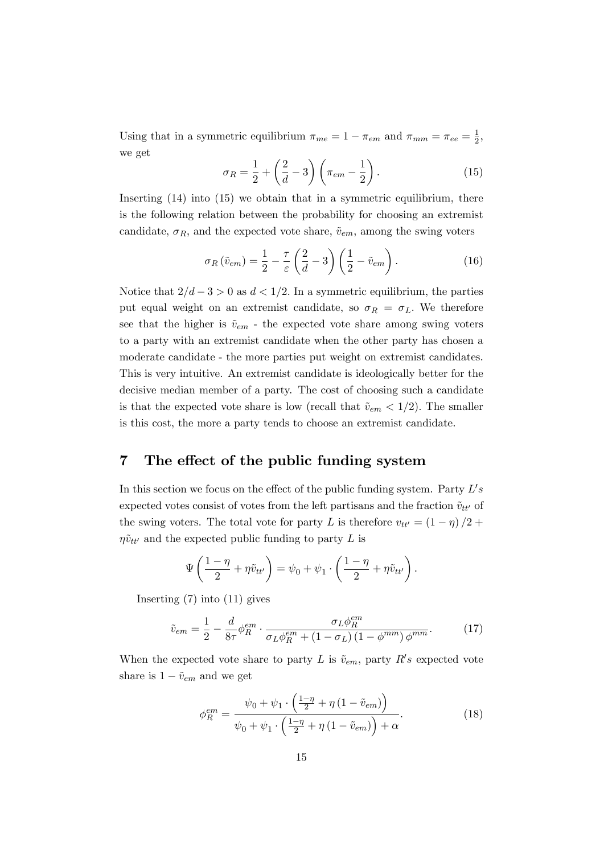Using that in a symmetric equilibrium  $\pi_{me} = 1 - \pi_{em}$  and  $\pi_{mm} = \pi_{ee} = \frac{1}{2}$  $\frac{1}{2}$ , we get

$$
\sigma_R = \frac{1}{2} + \left(\frac{2}{d} - 3\right)\left(\pi_{em} - \frac{1}{2}\right). \tag{15}
$$

Inserting  $(14)$  into  $(15)$  we obtain that in a symmetric equilibrium, there is the following relation between the probability for choosing an extremist candidate,  $\sigma_R$ , and the expected vote share,  $\tilde{v}_{em}$ , among the swing voters

$$
\sigma_R(\tilde{v}_{em}) = \frac{1}{2} - \frac{\tau}{\varepsilon} \left(\frac{2}{d} - 3\right) \left(\frac{1}{2} - \tilde{v}_{em}\right). \tag{16}
$$

Notice that  $2/d - 3 > 0$  as  $d < 1/2$ . In a symmetric equilibrium, the parties put equal weight on an extremist candidate, so  $\sigma_R = \sigma_L$ . We therefore see that the higher is  $\tilde{v}_{em}$  - the expected vote share among swing voters to a party with an extremist candidate when the other party has chosen a moderate candidate - the more parties put weight on extremist candidates. This is very intuitive. An extremist candidate is ideologically better for the decisive median member of a party. The cost of choosing such a candidate is that the expected vote share is low (recall that  $\tilde{v}_{em} < 1/2$ ). The smaller is this cost, the more a party tends to choose an extremist candidate.

# 7 The effect of the public funding system

In this section we focus on the effect of the public funding system. Party  $L's$ expected votes consist of votes from the left partisans and the fraction  $\tilde{v}_{tt'}$  of the swing voters. The total vote for party L is therefore  $v_{tt'} = (1 - \eta) / 2 + \eta$  $\eta\tilde{v}_{tt'}$  and the expected public funding to party L is

$$
\Psi\left(\frac{1-\eta}{2} + \eta \tilde{v}_{tt'}\right) = \psi_0 + \psi_1 \cdot \left(\frac{1-\eta}{2} + \eta \tilde{v}_{tt'}\right).
$$

Inserting (7) into (11) gives

$$
\tilde{v}_{em} = \frac{1}{2} - \frac{d}{8\tau} \phi_R^{em} \cdot \frac{\sigma_L \phi_R^{em}}{\sigma_L \phi_R^{em} + (1 - \sigma_L) (1 - \phi^{mm}) \phi^{mm}}.
$$
\n(17)

When the expected vote share to party L is  $\tilde{v}_{em}$ , party R's expected vote share is  $1 - \tilde{v}_{em}$  and we get

$$
\phi_R^{em} = \frac{\psi_0 + \psi_1 \cdot \left(\frac{1-\eta}{2} + \eta \left(1 - \tilde{v}_{em}\right)\right)}{\psi_0 + \psi_1 \cdot \left(\frac{1-\eta}{2} + \eta \left(1 - \tilde{v}_{em}\right)\right) + \alpha}.
$$
\n(18)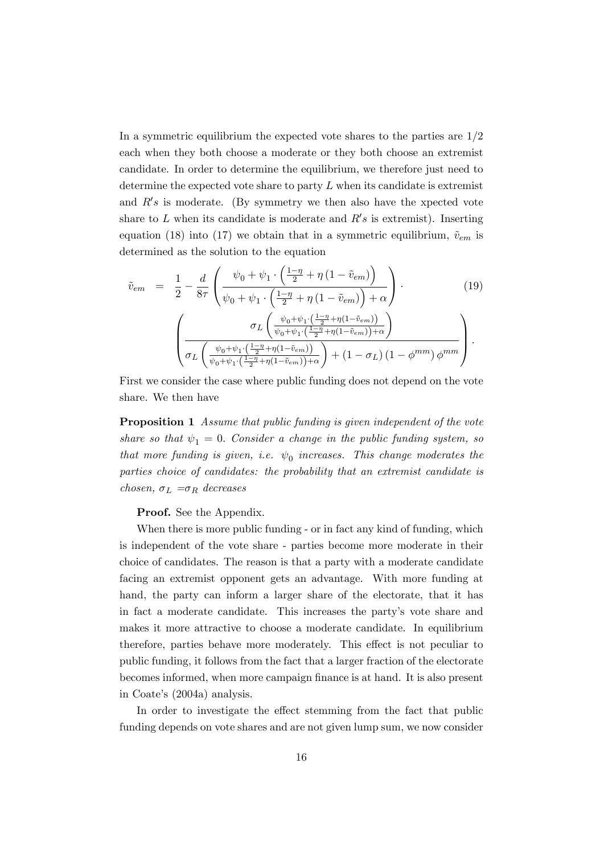In a symmetric equilibrium the expected vote shares to the parties are  $1/2$ each when they both choose a moderate or they both choose an extremist candidate. In order to determine the equilibrium, we therefore just need to determine the expected vote share to party  $L$  when its candidate is extremist and  $R's$  is moderate. (By symmetry we then also have the xpected vote share to L when its candidate is moderate and  $R's$  is extremist). Inserting equation (18) into (17) we obtain that in a symmetric equilibrium,  $\tilde{v}_{em}$  is determined as the solution to the equation

$$
\tilde{v}_{em} = \frac{1}{2} - \frac{d}{8\tau} \left( \frac{\psi_0 + \psi_1 \cdot \left( \frac{1-\eta}{2} + \eta \left( 1 - \tilde{v}_{em} \right) \right)}{\psi_0 + \psi_1 \cdot \left( \frac{1-\eta}{2} + \eta \left( 1 - \tilde{v}_{em} \right) \right) + \alpha} \right) \cdot \tag{19}
$$
\n
$$
\left( \frac{\sigma_L \left( \frac{\psi_0 + \psi_1 \cdot \left( \frac{1-\eta}{2} + \eta \left( 1 - \tilde{v}_{em} \right) \right)}{\psi_0 + \psi_1 \cdot \left( \frac{1-\eta}{2} + \eta \left( 1 - \tilde{v}_{em} \right) \right) + \alpha} \right)} \right)
$$
\n
$$
\sigma_L \left( \frac{\sigma_L \left( \frac{\psi_0 + \psi_1 \cdot \left( \frac{1-\eta}{2} + \eta \left( 1 - \tilde{v}_{em} \right) \right)}{\psi_0 + \psi_1 \cdot \left( \frac{1-\eta}{2} + \eta \left( 1 - \tilde{v}_{em} \right) \right) + \alpha} \right) + \left( 1 - \sigma_L \right) \left( 1 - \phi^{mm} \right) \phi^{mm} \right).
$$

First we consider the case where public funding does not depend on the vote share. We then have

**Proposition 1** Assume that public funding is given independent of the vote share so that  $\psi_1 = 0$ . Consider a change in the public funding system, so that more funding is given, i.e.  $\psi_0$  increases. This change moderates the parties choice of candidates: the probability that an extremist candidate is chosen,  $\sigma_L = \sigma_R$  decreases

Proof. See the Appendix.

When there is more public funding - or in fact any kind of funding, which is independent of the vote share - parties become more moderate in their choice of candidates. The reason is that a party with a moderate candidate facing an extremist opponent gets an advantage. With more funding at hand, the party can inform a larger share of the electorate, that it has in fact a moderate candidate. This increases the partyís vote share and makes it more attractive to choose a moderate candidate. In equilibrium therefore, parties behave more moderately. This effect is not peculiar to public funding, it follows from the fact that a larger fraction of the electorate becomes informed, when more campaign finance is at hand. It is also present in Coate's (2004a) analysis.

In order to investigate the effect stemming from the fact that public funding depends on vote shares and are not given lump sum, we now consider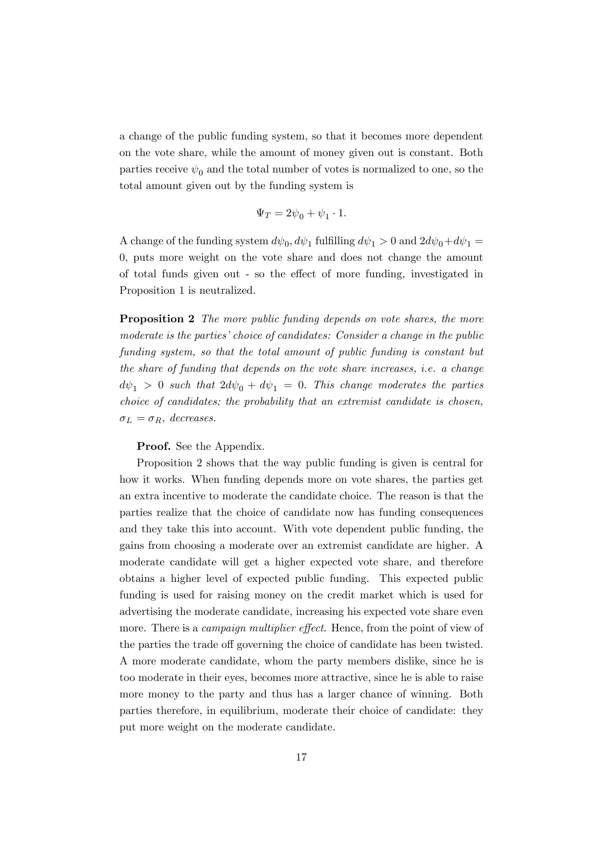a change of the public funding system, so that it becomes more dependent on the vote share, while the amount of money given out is constant. Both parties receive  $\psi_0$  and the total number of votes is normalized to one, so the total amount given out by the funding system is

$$
\Psi_T = 2\psi_0 + \psi_1 \cdot 1.
$$

A change of the funding system  $d\psi_0, d\psi_1$  fulfilling  $d\psi_1 > 0$  and  $2d\psi_0 + d\psi_1 =$ 0; puts more weight on the vote share and does not change the amount of total funds given out - so the effect of more funding, investigated in Proposition 1 is neutralized.

**Proposition 2** The more public funding depends on vote shares, the more moderate is the parties' choice of candidates: Consider a change in the public funding system, so that the total amount of public funding is constant but the share of funding that depends on the vote share increases, i.e. a change  $d\psi_1 > 0$  such that  $2d\psi_0 + d\psi_1 = 0$ . This change moderates the parties choice of candidates; the probability that an extremist candidate is chosen,  $\sigma_L = \sigma_R$ , decreases.

#### Proof. See the Appendix.

Proposition 2 shows that the way public funding is given is central for how it works. When funding depends more on vote shares, the parties get an extra incentive to moderate the candidate choice. The reason is that the parties realize that the choice of candidate now has funding consequences and they take this into account. With vote dependent public funding, the gains from choosing a moderate over an extremist candidate are higher. A moderate candidate will get a higher expected vote share, and therefore obtains a higher level of expected public funding. This expected public funding is used for raising money on the credit market which is used for advertising the moderate candidate, increasing his expected vote share even more. There is a *campaign multiplier effect*. Hence, from the point of view of the parties the trade off governing the choice of candidate has been twisted. A more moderate candidate, whom the party members dislike, since he is too moderate in their eyes, becomes more attractive, since he is able to raise more money to the party and thus has a larger chance of winning. Both parties therefore, in equilibrium, moderate their choice of candidate: they put more weight on the moderate candidate.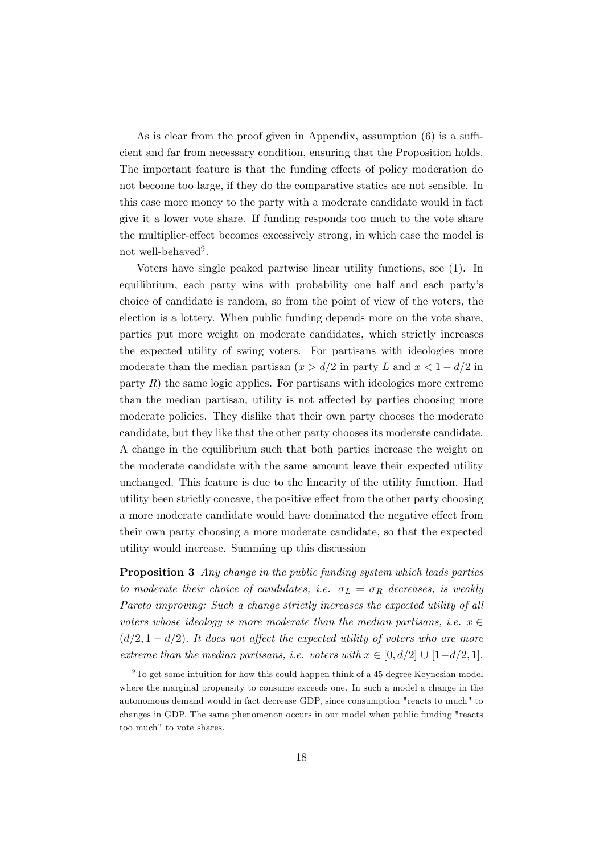As is clear from the proof given in Appendix, assumption  $(6)$  is a sufficient and far from necessary condition, ensuring that the Proposition holds. The important feature is that the funding effects of policy moderation do not become too large, if they do the comparative statics are not sensible. In this case more money to the party with a moderate candidate would in fact give it a lower vote share. If funding responds too much to the vote share the multiplier-effect becomes excessively strong, in which case the model is not well-behaved<sup>9</sup>.

Voters have single peaked partwise linear utility functions, see (1). In equilibrium, each party wins with probability one half and each party's choice of candidate is random, so from the point of view of the voters, the election is a lottery. When public funding depends more on the vote share, parties put more weight on moderate candidates, which strictly increases the expected utility of swing voters. For partisans with ideologies more moderate than the median partisan  $(x > d/2$  in party L and  $x < 1 - d/2$  in party  $R$ ) the same logic applies. For partisans with ideologies more extreme than the median partisan, utility is not affected by parties choosing more moderate policies. They dislike that their own party chooses the moderate candidate, but they like that the other party chooses its moderate candidate. A change in the equilibrium such that both parties increase the weight on the moderate candidate with the same amount leave their expected utility unchanged. This feature is due to the linearity of the utility function. Had utility been strictly concave, the positive effect from the other party choosing a more moderate candidate would have dominated the negative effect from their own party choosing a more moderate candidate, so that the expected utility would increase. Summing up this discussion

Proposition 3 Any change in the public funding system which leads parties to moderate their choice of candidates, i.e.  $\sigma_L = \sigma_R$  decreases, is weakly Pareto improving: Such a change strictly increases the expected utility of all voters whose ideology is more moderate than the median partisans, i.e.  $x \in$  $(d/2, 1 - d/2)$ . It does not affect the expected utility of voters who are more extreme than the median partisans, i.e. voters with  $x \in [0, d/2] \cup [1-d/2, 1]$ .

 $9<sup>9</sup>$ To get some intuition for how this could happen think of a 45 degree Keynesian model where the marginal propensity to consume exceeds one. In such a model a change in the autonomous demand would in fact decrease GDP, since consumption "reacts to much" to changes in GDP. The same phenomenon occurs in our model when public funding "reacts too much" to vote shares.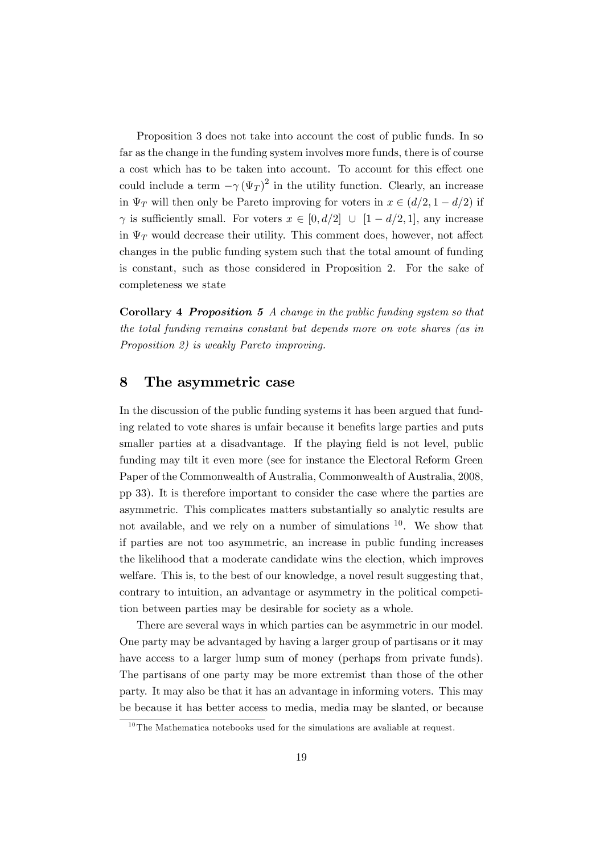Proposition 3 does not take into account the cost of public funds. In so far as the change in the funding system involves more funds, there is of course a cost which has to be taken into account. To account for this effect one could include a term  $-\gamma (\Psi_T)^2$  in the utility function. Clearly, an increase in  $\Psi_T$  will then only be Pareto improving for voters in  $x \in (d/2, 1 - d/2)$  if  $\gamma$  is sufficiently small. For voters  $x \in [0, d/2] \cup [1 - d/2, 1]$ , any increase in  $\Psi_T$  would decrease their utility. This comment does, however, not affect changes in the public funding system such that the total amount of funding is constant, such as those considered in Proposition 2. For the sake of completeness we state

Corollary 4 Proposition 5 A change in the public funding system so that the total funding remains constant but depends more on vote shares (as in Proposition 2) is weakly Pareto improving.

#### 8 The asymmetric case

In the discussion of the public funding systems it has been argued that funding related to vote shares is unfair because it benefits large parties and puts smaller parties at a disadvantage. If the playing field is not level, public funding may tilt it even more (see for instance the Electoral Reform Green Paper of the Commonwealth of Australia, Commonwealth of Australia, 2008, pp 33). It is therefore important to consider the case where the parties are asymmetric. This complicates matters substantially so analytic results are not available, and we rely on a number of simulations <sup>10</sup>. We show that if parties are not too asymmetric, an increase in public funding increases the likelihood that a moderate candidate wins the election, which improves welfare. This is, to the best of our knowledge, a novel result suggesting that, contrary to intuition, an advantage or asymmetry in the political competition between parties may be desirable for society as a whole.

There are several ways in which parties can be asymmetric in our model. One party may be advantaged by having a larger group of partisans or it may have access to a larger lump sum of money (perhaps from private funds). The partisans of one party may be more extremist than those of the other party. It may also be that it has an advantage in informing voters. This may be because it has better access to media, media may be slanted, or because

 $10$ The Mathematica notebooks used for the simulations are avaliable at request.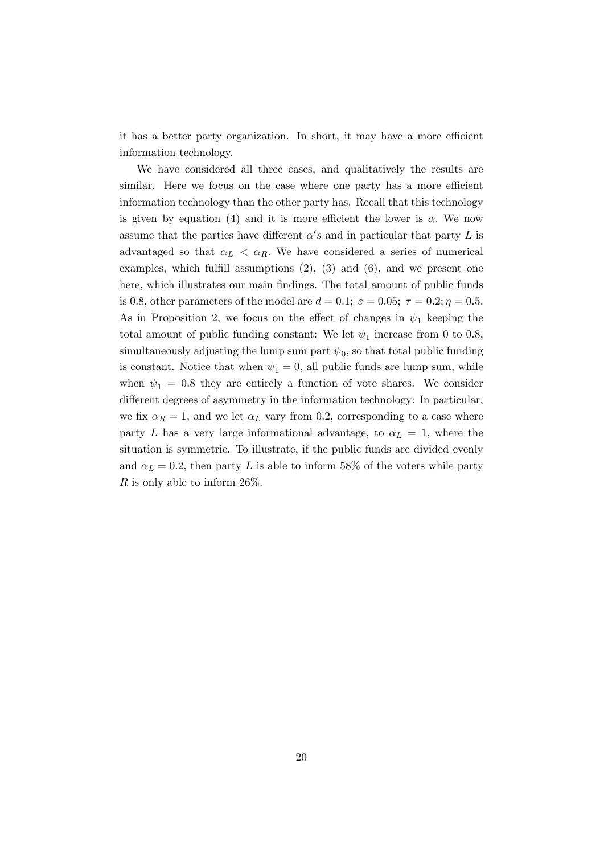it has a better party organization. In short, it may have a more efficient information technology.

We have considered all three cases, and qualitatively the results are similar. Here we focus on the case where one party has a more efficient information technology than the other party has. Recall that this technology is given by equation (4) and it is more efficient the lower is  $\alpha$ . We now assume that the parties have different  $\alpha's$  and in particular that party L is advantaged so that  $\alpha_L < \alpha_R$ . We have considered a series of numerical examples, which fulfill assumptions  $(2)$ ,  $(3)$  and  $(6)$ , and we present one here, which illustrates our main findings. The total amount of public funds is 0.8, other parameters of the model are  $d = 0.1$ ;  $\varepsilon = 0.05$ ;  $\tau = 0.2$ ;  $\eta = 0.5$ . As in Proposition 2, we focus on the effect of changes in  $\psi_1$  keeping the total amount of public funding constant: We let  $\psi_1$  increase from 0 to 0.8, simultaneously adjusting the lump sum part  $\psi_0$ , so that total public funding is constant. Notice that when  $\psi_1 = 0$ , all public funds are lump sum, while when  $\psi_1 = 0.8$  they are entirely a function of vote shares. We consider different degrees of asymmetry in the information technology: In particular, we fix  $\alpha_R = 1$ , and we let  $\alpha_L$  vary from 0.2, corresponding to a case where party L has a very large informational advantage, to  $\alpha_L = 1$ , where the situation is symmetric. To illustrate, if the public funds are divided evenly and  $\alpha_L = 0.2$ , then party L is able to inform 58% of the voters while party R is only able to inform  $26\%$ .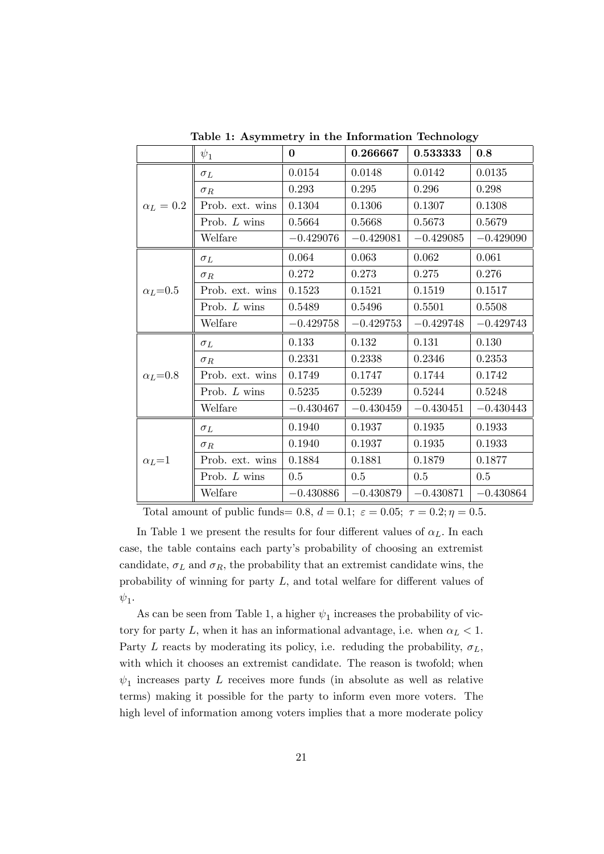|                  | $\psi_1$        | $\Omega$    | 0.266667    | 0.533333    | 0.8         |
|------------------|-----------------|-------------|-------------|-------------|-------------|
| $\alpha_L=0.2$   | $\sigma_L$      | 0.0154      | 0.0148      | 0.0142      | 0.0135      |
|                  | $\sigma_R$      | 0.293       | 0.295       | 0.296       | 0.298       |
|                  | Prob. ext. wins | 0.1304      | 0.1306      | 0.1307      | 0.1308      |
|                  | Prob. L wins    | 0.5664      | 0.5668      | 0.5673      | 0.5679      |
|                  | Welfare         | $-0.429076$ | $-0.429081$ | $-0.429085$ | $-0.429090$ |
| $\alpha_L{=}0.5$ | $\sigma_L$      | 0.064       | 0.063       | 0.062       | 0.061       |
|                  | $\sigma_R$      | 0.272       | 0.273       | 0.275       | 0.276       |
|                  | Prob. ext. wins | 0.1523      | 0.1521      | 0.1519      | 0.1517      |
|                  | Prob. L wins    | 0.5489      | 0.5496      | 0.5501      | 0.5508      |
|                  | Welfare         | $-0.429758$ | $-0.429753$ | $-0.429748$ | $-0.429743$ |
| $\alpha_L = 0.8$ | $\sigma_L$      | 0.133       | 0.132       | 0.131       | 0.130       |
|                  | $\sigma_R$      | 0.2331      | 0.2338      | 0.2346      | 0.2353      |
|                  | Prob. ext. wins | 0.1749      | 0.1747      | 0.1744      | 0.1742      |
|                  | Prob. L wins    | 0.5235      | 0.5239      | 0.5244      | 0.5248      |
|                  | Welfare         | $-0.430467$ | $-0.430459$ | $-0.430451$ | $-0.430443$ |
| $\alpha_L = 1$   | $\sigma_L$      | 0.1940      | 0.1937      | 0.1935      | 0.1933      |
|                  | $\sigma_R$      | 0.1940      | 0.1937      | 0.1935      | 0.1933      |
|                  | Prob. ext. wins | 0.1884      | 0.1881      | 0.1879      | 0.1877      |
|                  | Prob. L wins    | 0.5         | 0.5         | 0.5         | 0.5         |
|                  | Welfare         | $-0.430886$ | $-0.430879$ | $-0.430871$ | $-0.430864$ |

Table 1: Asymmetry in the Information Technology

Total amount of public funds= 0.8,  $d = 0.1$ ;  $\varepsilon = 0.05$ ;  $\tau = 0.2$ ;  $\eta = 0.5$ .

In Table 1 we present the results for four different values of  $\alpha_L$ . In each case, the table contains each partyís probability of choosing an extremist candidate,  $\sigma_L$  and  $\sigma_R$ , the probability that an extremist candidate wins, the probability of winning for party  $L$ , and total welfare for different values of  $\psi_1$ .

As can be seen from Table 1, a higher  $\psi_1$  increases the probability of victory for party L, when it has an informational advantage, i.e. when  $\alpha_L < 1$ . Party L reacts by moderating its policy, i.e. reduding the probability,  $\sigma_L$ , with which it chooses an extremist candidate. The reason is twofold; when  $\psi_1$  increases party L receives more funds (in absolute as well as relative terms) making it possible for the party to inform even more voters. The high level of information among voters implies that a more moderate policy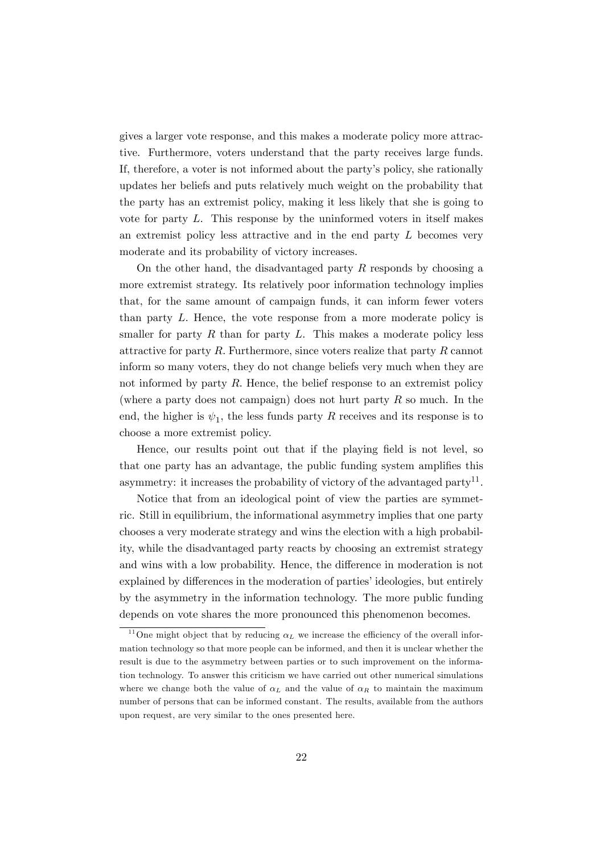gives a larger vote response, and this makes a moderate policy more attractive. Furthermore, voters understand that the party receives large funds. If, therefore, a voter is not informed about the partyís policy, she rationally updates her beliefs and puts relatively much weight on the probability that the party has an extremist policy, making it less likely that she is going to vote for party L. This response by the uninformed voters in itself makes an extremist policy less attractive and in the end party  $L$  becomes very moderate and its probability of victory increases.

On the other hand, the disadvantaged party  $R$  responds by choosing a more extremist strategy. Its relatively poor information technology implies that, for the same amount of campaign funds, it can inform fewer voters than party L: Hence, the vote response from a more moderate policy is smaller for party  $R$  than for party  $L$ . This makes a moderate policy less attractive for party  $R$ . Furthermore, since voters realize that party  $R$  cannot inform so many voters, they do not change beliefs very much when they are not informed by party  $R$ . Hence, the belief response to an extremist policy (where a party does not campaign) does not hurt party  $R$  so much. In the end, the higher is  $\psi_1$ , the less funds party R receives and its response is to choose a more extremist policy.

Hence, our results point out that if the playing field is not level, so that one party has an advantage, the public funding system amplifies this asymmetry: it increases the probability of victory of the advantaged party<sup>11</sup>.

Notice that from an ideological point of view the parties are symmetric. Still in equilibrium, the informational asymmetry implies that one party chooses a very moderate strategy and wins the election with a high probability, while the disadvantaged party reacts by choosing an extremist strategy and wins with a low probability. Hence, the difference in moderation is not explained by differences in the moderation of parties' ideologies, but entirely by the asymmetry in the information technology. The more public funding depends on vote shares the more pronounced this phenomenon becomes.

<sup>&</sup>lt;sup>11</sup>One might object that by reducing  $\alpha_L$  we increase the efficiency of the overall information technology so that more people can be informed, and then it is unclear whether the result is due to the asymmetry between parties or to such improvement on the information technology. To answer this criticism we have carried out other numerical simulations where we change both the value of  $\alpha_L$  and the value of  $\alpha_R$  to maintain the maximum number of persons that can be informed constant. The results, available from the authors upon request, are very similar to the ones presented here.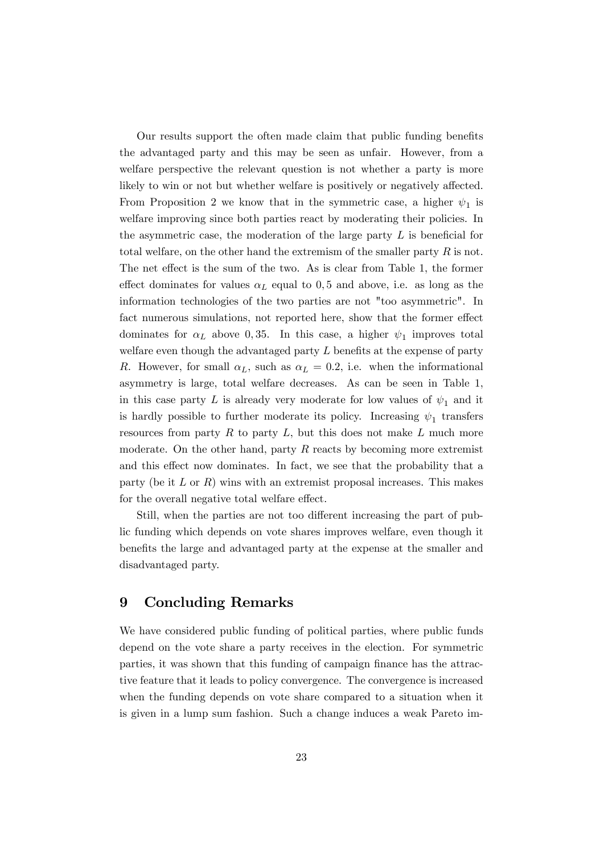Our results support the often made claim that public funding benefits the advantaged party and this may be seen as unfair. However, from a welfare perspective the relevant question is not whether a party is more likely to win or not but whether welfare is positively or negatively affected. From Proposition 2 we know that in the symmetric case, a higher  $\psi_1$  is welfare improving since both parties react by moderating their policies. In the asymmetric case, the moderation of the large party  $L$  is beneficial for total welfare, on the other hand the extremism of the smaller party  $R$  is not. The net effect is the sum of the two. As is clear from Table 1, the former effect dominates for values  $\alpha_L$  equal to 0,5 and above, i.e. as long as the information technologies of the two parties are not "too asymmetric". In fact numerous simulations, not reported here, show that the former effect dominates for  $\alpha_L$  above 0,35. In this case, a higher  $\psi_1$  improves total welfare even though the advantaged party  $L$  benefits at the expense of party R. However, for small  $\alpha_L$ , such as  $\alpha_L = 0.2$ , i.e. when the informational asymmetry is large, total welfare decreases. As can be seen in Table 1, in this case party L is already very moderate for low values of  $\psi_1$  and it is hardly possible to further moderate its policy. Increasing  $\psi_1$  transfers resources from party  $R$  to party  $L$ , but this does not make  $L$  much more moderate. On the other hand, party  $R$  reacts by becoming more extremist and this effect now dominates. In fact, we see that the probability that a party (be it  $L$  or  $R$ ) wins with an extremist proposal increases. This makes for the overall negative total welfare effect.

Still, when the parties are not too different increasing the part of public funding which depends on vote shares improves welfare, even though it benefits the large and advantaged party at the expense at the smaller and disadvantaged party.

# 9 Concluding Remarks

We have considered public funding of political parties, where public funds depend on the vote share a party receives in the election. For symmetric parties, it was shown that this funding of campaign finance has the attractive feature that it leads to policy convergence. The convergence is increased when the funding depends on vote share compared to a situation when it is given in a lump sum fashion. Such a change induces a weak Pareto im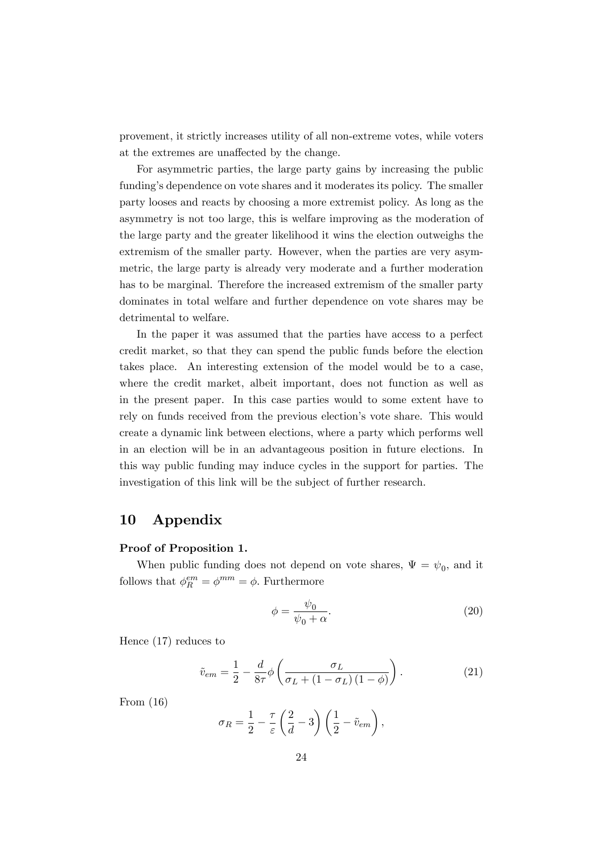provement, it strictly increases utility of all non-extreme votes, while voters at the extremes are unaffected by the change.

For asymmetric parties, the large party gains by increasing the public funding's dependence on vote shares and it moderates its policy. The smaller party looses and reacts by choosing a more extremist policy. As long as the asymmetry is not too large, this is welfare improving as the moderation of the large party and the greater likelihood it wins the election outweighs the extremism of the smaller party. However, when the parties are very asymmetric, the large party is already very moderate and a further moderation has to be marginal. Therefore the increased extremism of the smaller party dominates in total welfare and further dependence on vote shares may be detrimental to welfare.

In the paper it was assumed that the parties have access to a perfect credit market, so that they can spend the public funds before the election takes place. An interesting extension of the model would be to a case, where the credit market, albeit important, does not function as well as in the present paper. In this case parties would to some extent have to rely on funds received from the previous election's vote share. This would create a dynamic link between elections, where a party which performs well in an election will be in an advantageous position in future elections. In this way public funding may induce cycles in the support for parties. The investigation of this link will be the subject of further research.

# 10 Appendix

#### Proof of Proposition 1.

When public funding does not depend on vote shares,  $\Psi = \psi_0$ , and it follows that  $\phi_R^{em} = \phi^{mm} = \phi$ . Furthermore

$$
\phi = \frac{\psi_0}{\psi_0 + \alpha}.\tag{20}
$$

Hence (17) reduces to

$$
\tilde{v}_{em} = \frac{1}{2} - \frac{d}{8\tau} \phi \left( \frac{\sigma_L}{\sigma_L + (1 - \sigma_L)(1 - \phi)} \right). \tag{21}
$$

From (16)

$$
\sigma_R = \frac{1}{2} - \frac{\tau}{\varepsilon} \left( \frac{2}{d} - 3 \right) \left( \frac{1}{2} - \tilde{v}_{em} \right),\,
$$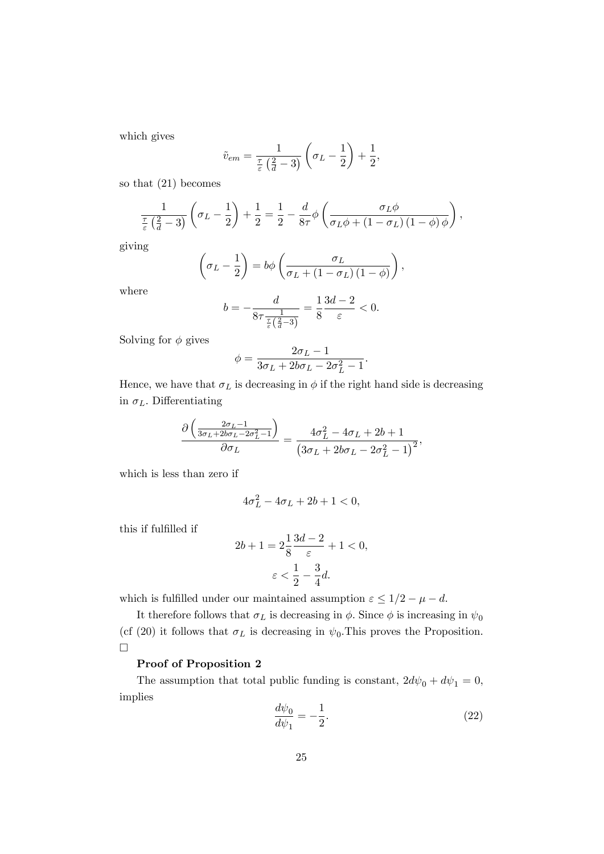which gives

$$
\tilde{v}_{em} = \frac{1}{\frac{\tau}{\varepsilon} \left(\frac{2}{d} - 3\right)} \left(\sigma_L - \frac{1}{2}\right) + \frac{1}{2},
$$

so that (21) becomes

$$
\frac{1}{\frac{\tau}{\varepsilon} \left(\frac{2}{d} - 3\right)} \left(\sigma_L - \frac{1}{2}\right) + \frac{1}{2} = \frac{1}{2} - \frac{d}{8\tau} \phi \left(\frac{\sigma_L \phi}{\sigma_L \phi + \left(1 - \sigma_L\right) \left(1 - \phi\right) \phi}\right),\,
$$

giving

$$
\left(\sigma_L - \frac{1}{2}\right) = b\phi \left(\frac{\sigma_L}{\sigma_L + (1 - \sigma_L)\left(1 - \phi\right)}\right),\,
$$

where

$$
b = -\frac{d}{8\tau \frac{1}{\frac{\tau}{\varepsilon}(\frac{2}{d}-3)}} = \frac{1}{8} \frac{3d-2}{\varepsilon} < 0.
$$

Solving for  $\phi$  gives

$$
\phi = \frac{2\sigma_L - 1}{3\sigma_L + 2b\sigma_L - 2\sigma_L^2 - 1}.
$$

Hence, we have that  $\sigma_L$  is decreasing in  $\phi$  if the right hand side is decreasing in  $\sigma_L$ . Differentiating

$$
\frac{\partial \left(\frac{2\sigma_L - 1}{3\sigma_L + 2b\sigma_L - 2\sigma_L^2 - 1}\right)}{\partial \sigma_L} = \frac{4\sigma_L^2 - 4\sigma_L + 2b + 1}{\left(3\sigma_L + 2b\sigma_L - 2\sigma_L^2 - 1\right)^2},
$$

which is less than zero if

$$
4\sigma_L^2 - 4\sigma_L + 2b + 1 < 0,
$$

this if fulfilled if

$$
2b + 1 = 2\frac{1}{8}\frac{3d - 2}{\varepsilon} + 1 < 0,
$$
\n
$$
\varepsilon < \frac{1}{2} - \frac{3}{4}d.
$$

which is fulfilled under our maintained assumption  $\varepsilon \leq 1/2 - \mu - d$ .

It therefore follows that  $\sigma_L$  is decreasing in  $\phi$ . Since  $\phi$  is increasing in  $\psi_0$ (cf (20) it follows that  $\sigma_L$  is decreasing in  $\psi_0$ . This proves the Proposition.  $\Box$ 

#### Proof of Proposition 2

The assumption that total public funding is constant,  $2d\psi_0 + d\psi_1 = 0$ , implies

$$
\frac{d\psi_0}{d\psi_1} = -\frac{1}{2}.\tag{22}
$$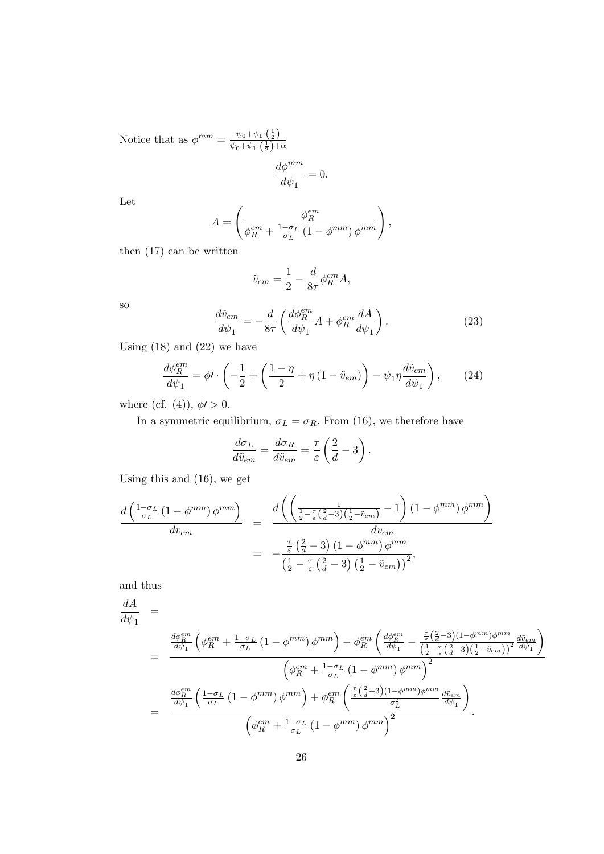Notice that as  $\phi^{mm} = \frac{\psi_0 + \psi_1 \cdot (\frac{1}{2})}{\psi_0 + \psi_1 \cdot (\frac{1}{2})}$  $\psi_0 + \psi_1 \cdot (\frac{1}{2}) + \alpha$ 

$$
\frac{d\phi^{mm}}{d\psi_1}=0.
$$

Let

$$
A = \left(\frac{\phi_R^{em}}{\phi_R^{em} + \frac{1-\sigma_L}{\sigma_L} \left(1 - \phi^{mm}\right) \phi^{mm}}\right),
$$

then (17) can be written

$$
\tilde{v}_{em} = \frac{1}{2} - \frac{d}{8\tau} \phi_R^{em} A,
$$

so

$$
\frac{d\tilde{v}_{em}}{d\psi_1} = -\frac{d}{8\tau} \left( \frac{d\phi_R^{em}}{d\psi_1} A + \phi_R^{em} \frac{dA}{d\psi_1} \right). \tag{23}
$$

Using  $(18)$  and  $(22)$  we have

$$
\frac{d\phi_R^{em}}{d\psi_1} = \phi \prime \cdot \left( -\frac{1}{2} + \left( \frac{1-\eta}{2} + \eta \left( 1 - \tilde{v}_{em} \right) \right) - \psi_1 \eta \frac{d\tilde{v}_{em}}{d\psi_1} \right), \tag{24}
$$

where (cf. (4)),  $\phi$  > 0.

In a symmetric equilibrium,  $\sigma_L = \sigma_R$ . From (16), we therefore have

$$
\frac{d\sigma_L}{d\tilde{v}_{em}} = \frac{d\sigma_R}{d\tilde{v}_{em}} = \frac{\tau}{\varepsilon} \left(\frac{2}{d} - 3\right).
$$

Using this and (16), we get

$$
\frac{d\left(\frac{1-\sigma_L}{\sigma_L}\left(1-\phi^{mm}\right)\phi^{mm}\right)}{dv_{em}} = \frac{d\left(\left(\frac{1}{\frac{1}{2}-\frac{\tau}{\varepsilon}\left(\frac{2}{d}-3\right)\left(\frac{1}{2}-\tilde{v}_{em}\right)}-1\right)\left(1-\phi^{mm}\right)\phi^{mm}\right)}{dv_{em}}
$$
\n
$$
= -\frac{\frac{\tau}{\varepsilon}\left(\frac{2}{d}-3\right)\left(1-\phi^{mm}\right)\phi^{mm}}{\left(\frac{1}{2}-\frac{\tau}{\varepsilon}\left(\frac{2}{d}-3\right)\left(\frac{1}{2}-\tilde{v}_{em}\right)\right)^2},
$$

and thus

$$
\frac{dA}{d\psi_1} = \frac{d\phi_E^{em}}{d\psi_1} \left( \phi_R^{em} + \frac{1-\sigma_L}{\sigma_L} \left( 1 - \phi^{mm} \right) \phi^{mm} \right) - \phi_R^{em} \left( \frac{d\phi_E^{em}}{d\psi_1} - \frac{\frac{\tau}{\varepsilon} \left( \frac{2}{d} - 3 \right) \left( 1 - \phi^{mm} \right) \phi^{mm}}{\left( \frac{1}{2} - \frac{\tau}{\varepsilon} \left( \frac{2}{d} - 3 \right) \left( \frac{1}{2} - \tilde{v}_{em} \right) \right)^2} \frac{d\tilde{v}_{em}}{d\psi_1} \right)}{\left( \phi_R^{em} + \frac{1-\sigma_L}{\sigma_L} \left( 1 - \phi^{mm} \right) \phi^{mm} \right)^2}
$$
\n
$$
= \frac{\frac{d\phi_E^{em}}{d\psi_1} \left( \frac{1-\sigma_L}{\sigma_L} \left( 1 - \phi^{mm} \right) \phi^{mm} \right) + \phi_R^{em} \left( \frac{\frac{\tau}{\varepsilon} \left( \frac{2}{d} - 3 \right) \left( 1 - \phi^{mm} \right) \phi^{mm}}{\sigma_L^2} \frac{d\tilde{v}_{em}}{d\psi_1} \right)}{\left( \phi_R^{em} + \frac{1-\sigma_L}{\sigma_L} \left( 1 - \phi^{mm} \right) \phi^{mm} \right)^2}.
$$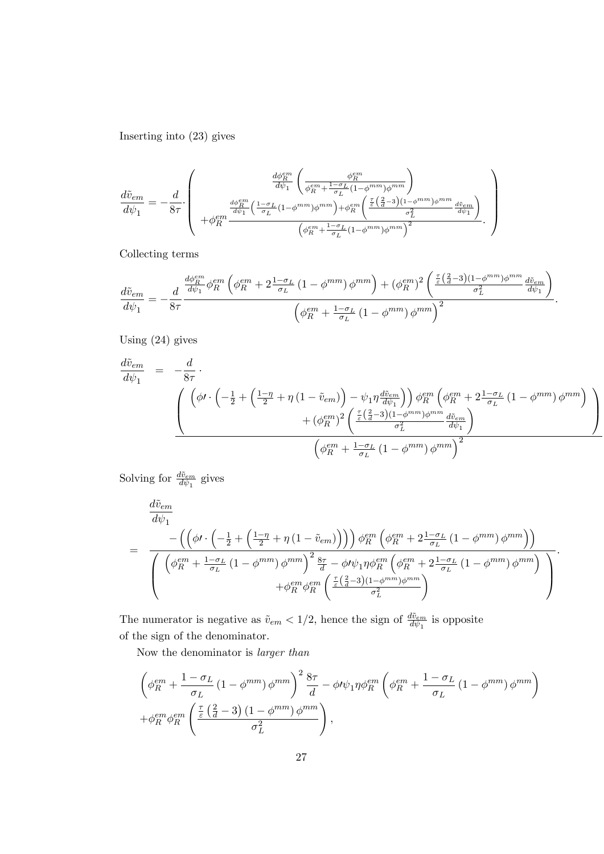Inserting into (23) gives

$$
\frac{d\tilde{v}_{em}}{d\psi_1} = -\frac{d}{8\tau} \cdot \left(\begin{array}{c} \frac{d\phi_R^{em}}{d\psi_1} \left( \frac{\phi_R^{em}}{\phi_R^{em} + \frac{1-\sigma_L}{\sigma_L}(1-\phi^{mm})\phi^{mm}} \right) \\ \frac{d\phi_R^{em}}{\psi_1} \left( \frac{1-\sigma_L}{\sigma_L}(1-\phi^{mm})\phi^{mm} \right) + \phi_R^{em} \left( \frac{\frac{\tau}{\varepsilon} \left( \frac{2}{d}-3 \right) (1-\phi^{mm})\phi^{mm}}{\sigma_L^2} \frac{d\tilde{v}_{em}}{d\psi_1} \right) \\ + \phi_R^{em} \frac{d\phi_R^{em}}{\psi_1} \left( \frac{1-\sigma_L}{\sigma_L}(1-\phi^{mm})\phi^{mm} \right) + \phi_R^{em} \left( \frac{\frac{\tau}{\varepsilon} \left( \frac{2}{d}-3 \right) (1-\phi^{mm})\phi^{mm}}{\sigma_L^2} \frac{d\tilde{v}_{em}}{d\psi_1} \right) \end{array} \right)
$$

Collecting terms

$$
\frac{d\tilde{v}_{em}}{d\psi_1} = -\frac{d}{8\tau} \frac{\frac{d\phi_R^{em}}{d\psi_1} \phi_R^{em} \left(\phi_R^{em} + 2\frac{1-\sigma_L}{\sigma_L} \left(1-\phi^{mm}\right) \phi^{mm}\right) + (\phi_R^{em})^2 \left(\frac{\frac{\tau}{\varepsilon} \left(\frac{2}{d}-3\right) (1-\phi^{mm}) \phi^{mm}}{\sigma_L^2} \frac{d\tilde{v}_{em}}{d\psi_1}\right)}{\left(\phi_R^{em} + \frac{1-\sigma_L}{\sigma_L} \left(1-\phi^{mm}\right) \phi^{mm}\right)^2}.
$$

Using (24) gives

$$
\frac{d\tilde{v}_{em}}{d\psi_{1}} = -\frac{d}{8\tau} \cdot \left( \left( \phi I \cdot \left( -\frac{1}{2} + \left( \frac{1-\eta}{2} + \eta \left( 1 - \tilde{v}_{em} \right) \right) - \psi_{1} \eta \frac{d\tilde{v}_{em}}{d\psi_{1}} \right) \right) \phi_{R}^{em} \left( \phi_{R}^{em} + 2\frac{1-\sigma_{L}}{\sigma_{L}} \left( 1 - \phi^{mm} \right) \phi^{mm} \right) \right) \right) \times \left( \phi_{R}^{em} \left( \phi_{R}^{em} + 2\frac{1-\sigma_{L}}{\sigma_{L}} \left( 1 - \phi^{mm} \right) \phi^{mm} \right) \right) \right)
$$
\n
$$
+ \left( \phi_{R}^{em} \right)^{2} \left( \frac{\tau}{\epsilon} \left( \frac{2}{d} - 3 \right) \left( 1 - \phi^{mm} \right) \phi^{mm} \frac{d\tilde{v}_{em}}{d\psi_{1}} \right)
$$
\n
$$
\left( \phi_{R}^{em} + \frac{1-\sigma_{L}}{\sigma_{L}} \left( 1 - \phi^{mm} \right) \phi^{mm} \right)^{2}
$$

Solving for  $\frac{d\tilde{v}_{em}}{d\psi_1}$  gives

$$
\frac{d\tilde{v}_{em}}{d\psi_{1}} = \frac{-\left(\left(\phi\prime\cdot\left(-\frac{1}{2}+\left(\frac{1-\eta}{2}+\eta\left(1-\tilde{v}_{em}\right)\right)\right)\right)\phi_{R}^{em}\left(\phi_{R}^{em}+2\frac{1-\sigma_{L}}{\sigma_{L}}\left(1-\phi^{mm}\right)\phi^{mm}\right)\right)}{\left(\left(\phi_{R}^{em}+\frac{1-\sigma_{L}}{\sigma_{L}}\left(1-\phi^{mm}\right)\phi^{mm}\right)^{2}\frac{8\tau}{d}-\phi\prime\psi_{1}\eta\phi_{R}^{em}\left(\phi_{R}^{em}+2\frac{1-\sigma_{L}}{\sigma_{L}}\left(1-\phi^{mm}\right)\phi^{mm}\right)}\right)}{+\phi_{R}^{em}\phi_{R}^{em}\left(\frac{\tau}{\varepsilon}\left(\frac{2}{d}-3\right)(1-\phi^{mm})\phi^{mm}\right)}\right)}.
$$

The numerator is negative as  $\tilde{v}_{em} < 1/2$ , hence the sign of  $\frac{d\tilde{v}_{em}}{d\psi_1}$  is opposite of the sign of the denominator.

Now the denominator is larger than

$$
\left(\phi_R^{em} + \frac{1 - \sigma_L}{\sigma_L} \left(1 - \phi^{mm}\right) \phi^{mm}\right)^2 \frac{8\tau}{d} - \phi \nu_1 \eta \phi_R^{em} \left(\phi_R^{em} + \frac{1 - \sigma_L}{\sigma_L} \left(1 - \phi^{mm}\right) \phi^{mm}\right) + \phi_R^{em} \phi_R^{em} \left(\frac{\frac{\tau}{\varepsilon} \left(\frac{2}{d} - 3\right) \left(1 - \phi^{mm}\right) \phi^{mm}}{\sigma_L^2}\right),
$$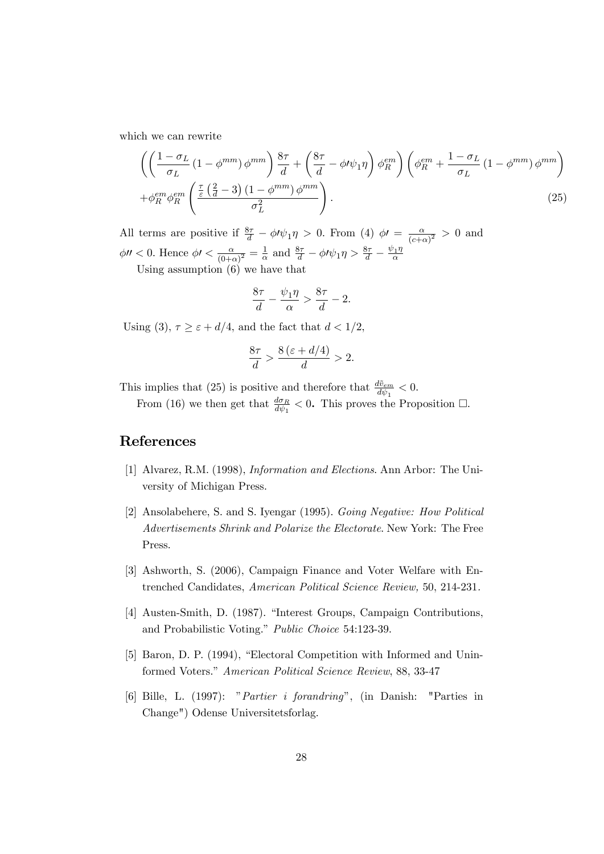which we can rewrite

$$
\left( \left( \frac{1 - \sigma_L}{\sigma_L} \left( 1 - \phi^{mm} \right) \phi^{mm} \right) \frac{8\tau}{d} + \left( \frac{8\tau}{d} - \phi \nu \psi_1 \eta \right) \phi_R^{em} \right) \left( \phi_R^{em} + \frac{1 - \sigma_L}{\sigma_L} \left( 1 - \phi^{mm} \right) \phi^{mm} \right) + \phi_R^{em} \phi_R^{em} \left( \frac{\frac{\tau}{\varepsilon} \left( \frac{2}{d} - 3 \right) \left( 1 - \phi^{mm} \right) \phi^{mm}}{\sigma_L^2} \right). \tag{25}
$$

All terms are positive if  $\frac{8\tau}{d} - \phi \nu_1 \eta > 0$ . From (4)  $\phi \nu = \frac{\alpha}{(c+\epsilon)}$  $\frac{\alpha}{(c+\alpha)^2} > 0$  and  $\phi$ *ll* < 0. Hence  $\phi$ *l* <  $\frac{\alpha}{(0+\alpha)}$  $\frac{\alpha}{(0+\alpha)^2} = \frac{1}{\alpha}$  $\frac{1}{\alpha}$  and  $\frac{8\tau}{d} - \phi \prime \psi_1 \eta > \frac{8\tau}{d} - \frac{\psi_1 \eta}{\alpha}$ Using assumption (6) we have that

$$
\frac{8\tau}{d} - \frac{\psi_1 \eta}{\alpha} > \frac{8\tau}{d} - 2.
$$

Using (3),  $\tau \geq \varepsilon + d/4$ , and the fact that  $d < 1/2$ ,

$$
\frac{8\tau}{d} > \frac{8\left(\varepsilon + d/4\right)}{d} > 2.
$$

This implies that (25) is positive and therefore that  $\frac{d\tilde{v}_{em}}{d\psi_1} < 0$ .

From (16) we then get that  $\frac{d\sigma_R}{d\psi_1} < 0$ . This proves the Proposition  $\Box$ .

# References

- [1] Alvarez, R.M. (1998), Information and Elections. Ann Arbor: The University of Michigan Press.
- [2] Ansolabehere, S. and S. Iyengar (1995). Going Negative: How Political Advertisements Shrink and Polarize the Electorate. New York: The Free Press.
- [3] Ashworth, S. (2006), Campaign Finance and Voter Welfare with Entrenched Candidates, American Political Science Review, 50, 214-231.
- [4] Austen-Smith, D. (1987). "Interest Groups, Campaign Contributions, and Probabilistic Voting." Public Choice 54:123-39.
- [5] Baron, D. P. (1994), "Electoral Competition with Informed and Uninformed Voters." American Political Science Review, 88, 33-47
- [6] Bille, L. (1997): "Partier i forandring", (in Danish: "Parties in Change") Odense Universitetsforlag.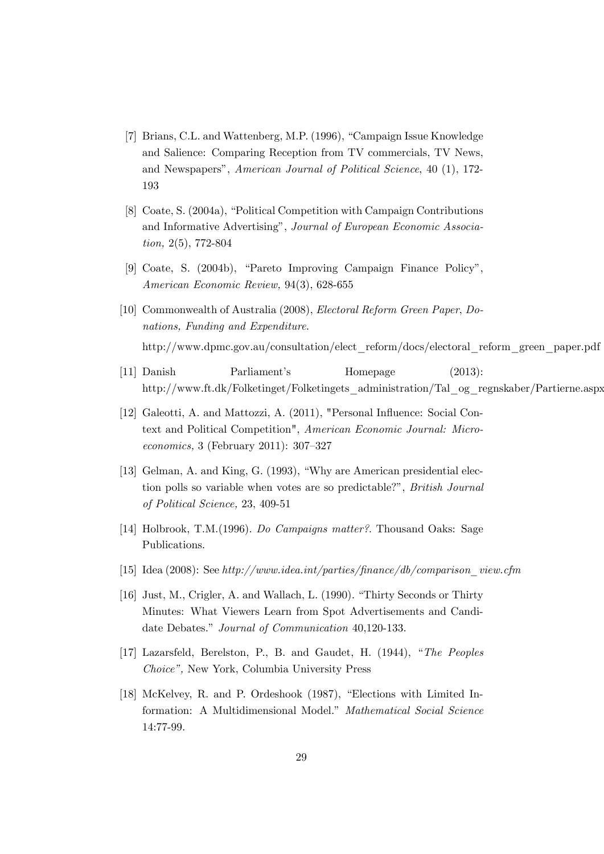- [7] Brians, C.L. and Wattenberg, M.P. (1996), "Campaign Issue Knowledge and Salience: Comparing Reception from TV commercials, TV News, and Newspapers", American Journal of Political Science, 40 (1), 172-193
- [8] Coate, S. (2004a), "Political Competition with Campaign Contributions and Informative Advertising", Journal of European Economic Association, 2(5), 772-804
- [9] Coate, S. (2004b), "Pareto Improving Campaign Finance Policy", American Economic Review, 94(3), 628-655
- [10] Commonwealth of Australia (2008), Electoral Reform Green Paper, Donations, Funding and Expenditure. http://www.dpmc.gov.au/consultation/elect\_reform/docs/electoral\_reform\_green\_paper.pdf
- [11] Danish Parliamentís Homepage (2013): http://www.ft.dk/Folketinget/Folketingets\_administration/Tal\_og\_regnskaber/Partierne.aspx
- [12] Galeotti, A. and Mattozzi, A. (2011), "Personal Influence: Social Context and Political Competition", American Economic Journal: Micro $economics, 3$  (February 2011): 307–327
- [13] Gelman, A. and King, G.  $(1993)$ , "Why are American presidential election polls so variable when votes are so predictable?", British Journal of Political Science, 23, 409-51
- [14] Holbrook, T.M.(1996). Do Campaigns matter?. Thousand Oaks: Sage Publications.
- [15] Idea (2008): See http://www.idea.int/parties/Önance/db/comparison\_view.cfm
- [16] Just, M., Crigler, A. and Wallach, L. (1990). "Thirty Seconds or Thirty Minutes: What Viewers Learn from Spot Advertisements and Candidate Debates." Journal of Communication 40.120-133.
- [17] Lazarsfeld, Berelston, P., B. and Gaudet, H. (1944), "The Peoples Choice", New York, Columbia University Press
- [18] McKelvey, R. and P. Ordeshook (1987), "Elections with Limited Information: A Multidimensional Model." Mathematical Social Science 14:77-99.